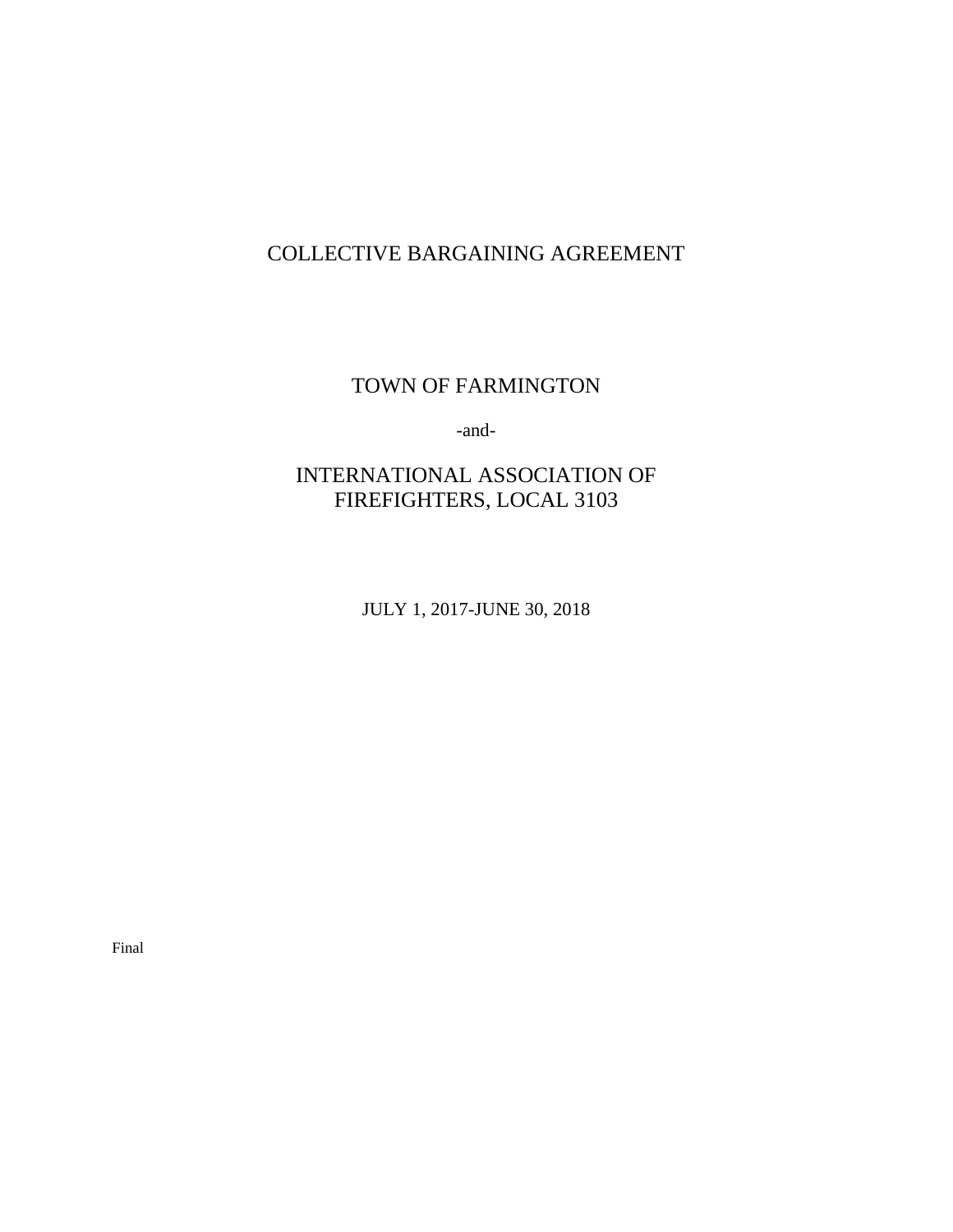# COLLECTIVE BARGAINING AGREEMENT

TOWN OF FARMINGTON

-and-

# INTERNATIONAL ASSOCIATION OF FIREFIGHTERS, LOCAL 3103

JULY 1, 2017-JUNE 30, 2018

Final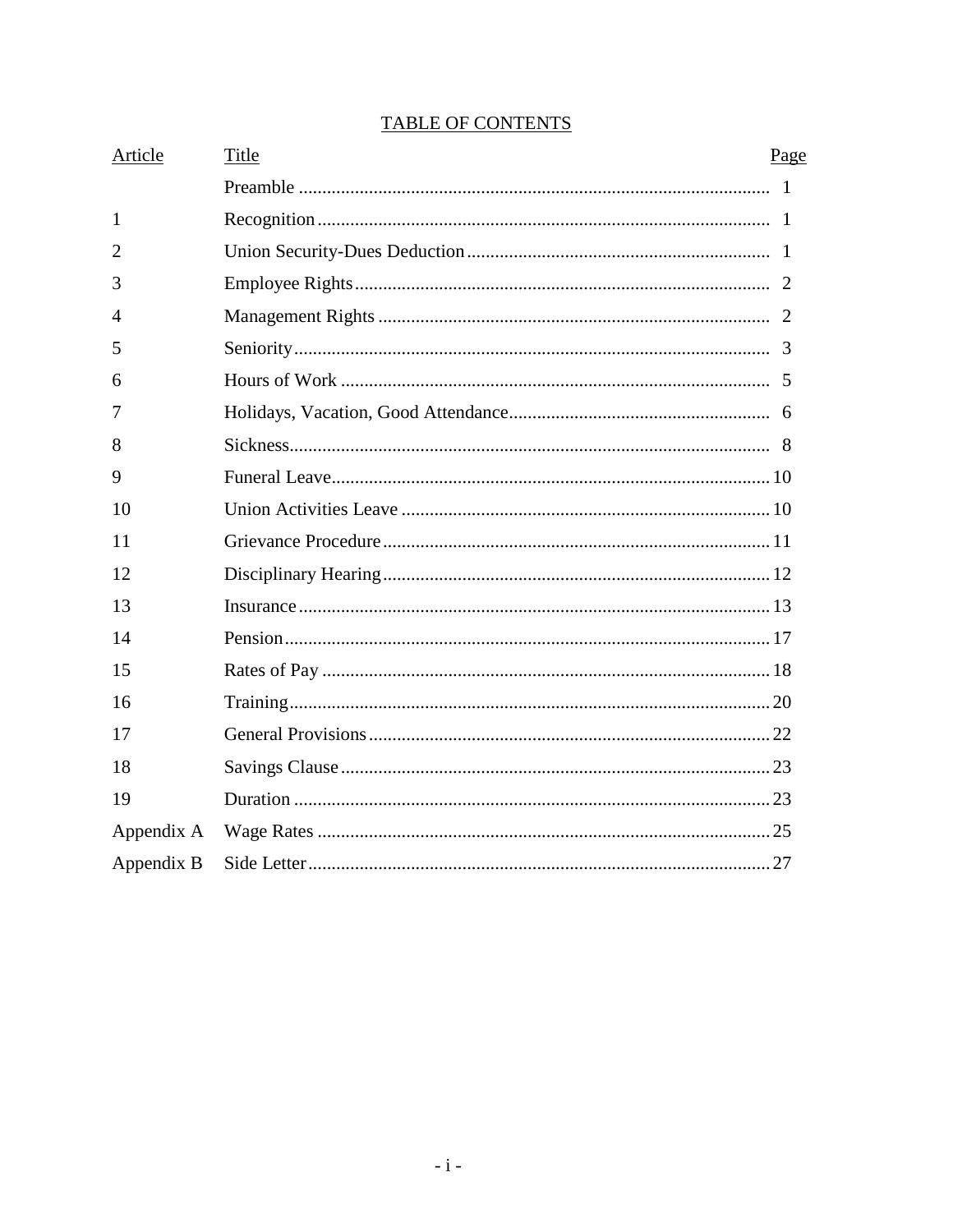| Article      | Title | Page |
|--------------|-------|------|
|              |       |      |
| $\mathbf{1}$ |       |      |
| 2            |       |      |
| 3            |       |      |
| 4            |       |      |
| 5            |       |      |
| 6            |       |      |
| 7            |       |      |
| 8            |       |      |
| 9            |       |      |
| 10           |       |      |
| 11           |       |      |
| 12           |       |      |
| 13           |       |      |
| 14           |       |      |
| 15           |       |      |
| 16           |       |      |
| 17           |       |      |
| 18           |       |      |
| 19           |       |      |
| Appendix A   |       |      |
| Appendix B   |       |      |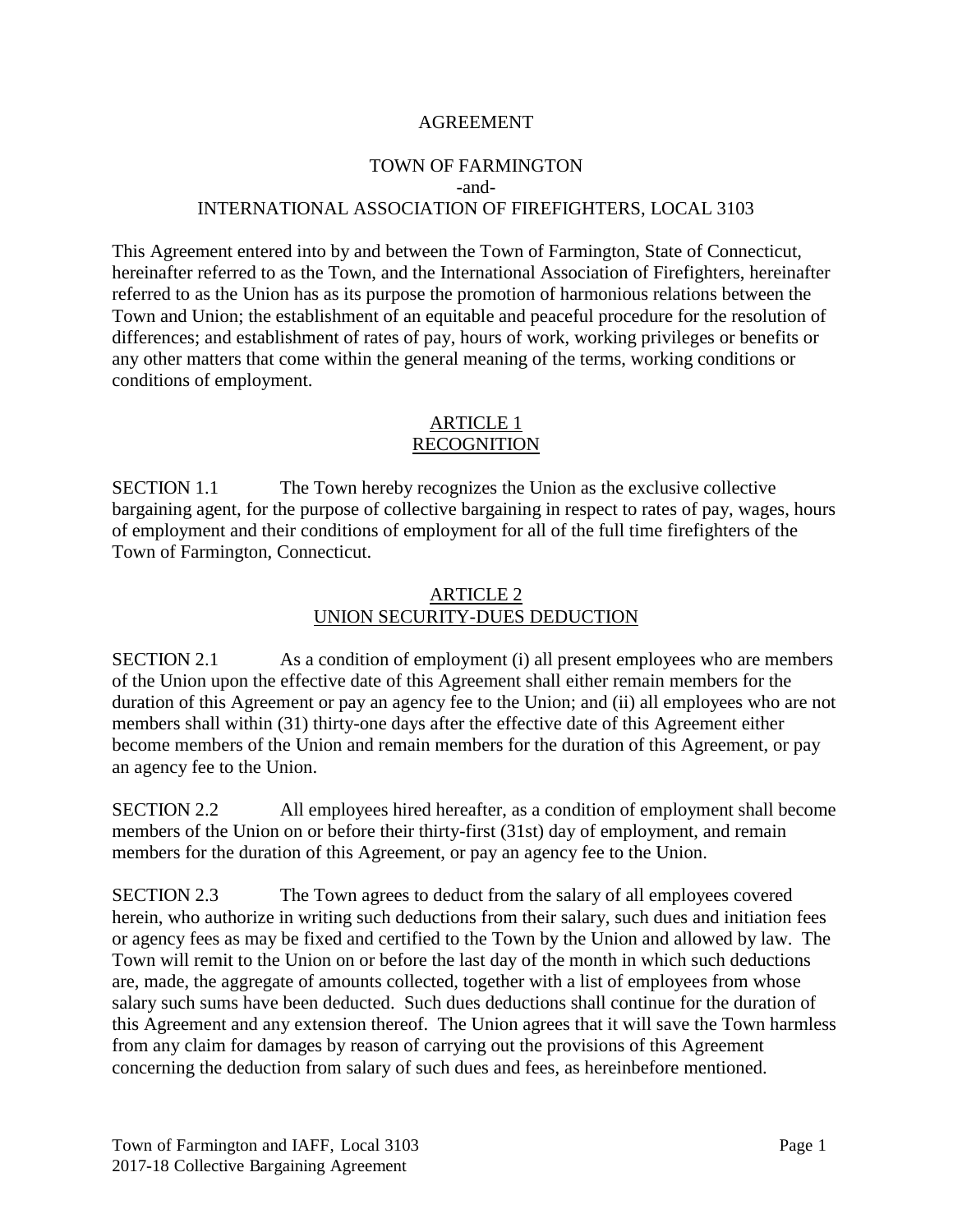#### AGREEMENT

### TOWN OF FARMINGTON -and-INTERNATIONAL ASSOCIATION OF FIREFIGHTERS, LOCAL 3103

This Agreement entered into by and between the Town of Farmington, State of Connecticut, hereinafter referred to as the Town, and the International Association of Firefighters, hereinafter referred to as the Union has as its purpose the promotion of harmonious relations between the Town and Union; the establishment of an equitable and peaceful procedure for the resolution of differences; and establishment of rates of pay, hours of work, working privileges or benefits or any other matters that come within the general meaning of the terms, working conditions or conditions of employment.

### ARTICLE 1 RECOGNITION

SECTION 1.1 The Town hereby recognizes the Union as the exclusive collective bargaining agent, for the purpose of collective bargaining in respect to rates of pay, wages, hours of employment and their conditions of employment for all of the full time firefighters of the Town of Farmington, Connecticut.

#### ARTICLE 2 UNION SECURITY-DUES DEDUCTION

SECTION 2.1 As a condition of employment (i) all present employees who are members of the Union upon the effective date of this Agreement shall either remain members for the duration of this Agreement or pay an agency fee to the Union; and (ii) all employees who are not members shall within (31) thirty-one days after the effective date of this Agreement either become members of the Union and remain members for the duration of this Agreement, or pay an agency fee to the Union.

SECTION 2.2 All employees hired hereafter, as a condition of employment shall become members of the Union on or before their thirty-first (31st) day of employment, and remain members for the duration of this Agreement, or pay an agency fee to the Union.

SECTION 2.3 The Town agrees to deduct from the salary of all employees covered herein, who authorize in writing such deductions from their salary, such dues and initiation fees or agency fees as may be fixed and certified to the Town by the Union and allowed by law. The Town will remit to the Union on or before the last day of the month in which such deductions are, made, the aggregate of amounts collected, together with a list of employees from whose salary such sums have been deducted. Such dues deductions shall continue for the duration of this Agreement and any extension thereof. The Union agrees that it will save the Town harmless from any claim for damages by reason of carrying out the provisions of this Agreement concerning the deduction from salary of such dues and fees, as hereinbefore mentioned.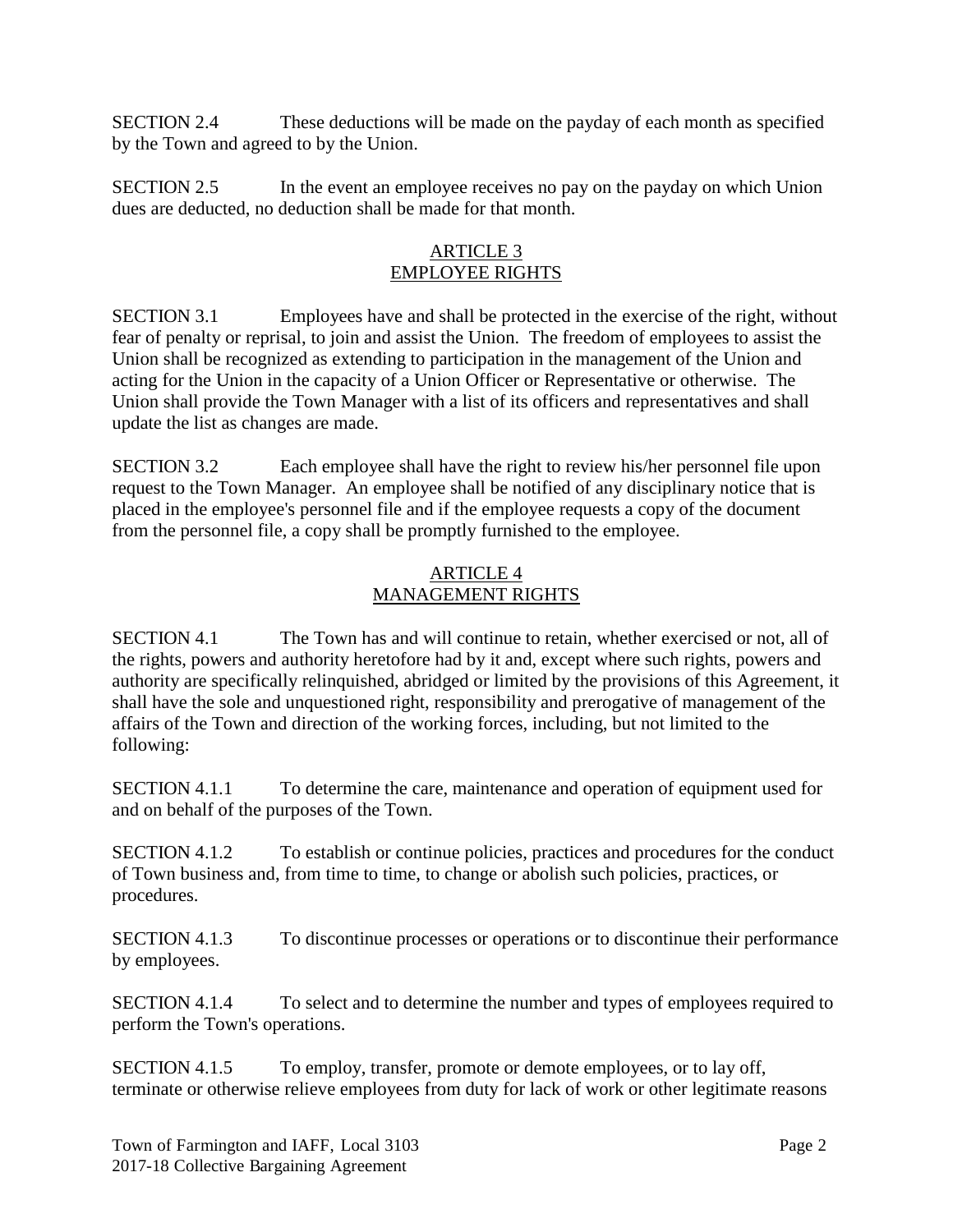SECTION 2.4 These deductions will be made on the payday of each month as specified by the Town and agreed to by the Union.

SECTION 2.5 In the event an employee receives no pay on the payday on which Union dues are deducted, no deduction shall be made for that month.

### ARTICLE 3 EMPLOYEE RIGHTS

SECTION 3.1 Employees have and shall be protected in the exercise of the right, without fear of penalty or reprisal, to join and assist the Union. The freedom of employees to assist the Union shall be recognized as extending to participation in the management of the Union and acting for the Union in the capacity of a Union Officer or Representative or otherwise. The Union shall provide the Town Manager with a list of its officers and representatives and shall update the list as changes are made.

SECTION 3.2 Each employee shall have the right to review his/her personnel file upon request to the Town Manager. An employee shall be notified of any disciplinary notice that is placed in the employee's personnel file and if the employee requests a copy of the document from the personnel file, a copy shall be promptly furnished to the employee.

### ARTICLE 4 MANAGEMENT RIGHTS

SECTION 4.1 The Town has and will continue to retain, whether exercised or not, all of the rights, powers and authority heretofore had by it and, except where such rights, powers and authority are specifically relinquished, abridged or limited by the provisions of this Agreement, it shall have the sole and unquestioned right, responsibility and prerogative of management of the affairs of the Town and direction of the working forces, including, but not limited to the following:

SECTION 4.1.1 To determine the care, maintenance and operation of equipment used for and on behalf of the purposes of the Town.

SECTION 4.1.2 To establish or continue policies, practices and procedures for the conduct of Town business and, from time to time, to change or abolish such policies, practices, or procedures.

SECTION 4.1.3 To discontinue processes or operations or to discontinue their performance by employees.

SECTION 4.1.4 To select and to determine the number and types of employees required to perform the Town's operations.

SECTION 4.1.5 To employ, transfer, promote or demote employees, or to lay off, terminate or otherwise relieve employees from duty for lack of work or other legitimate reasons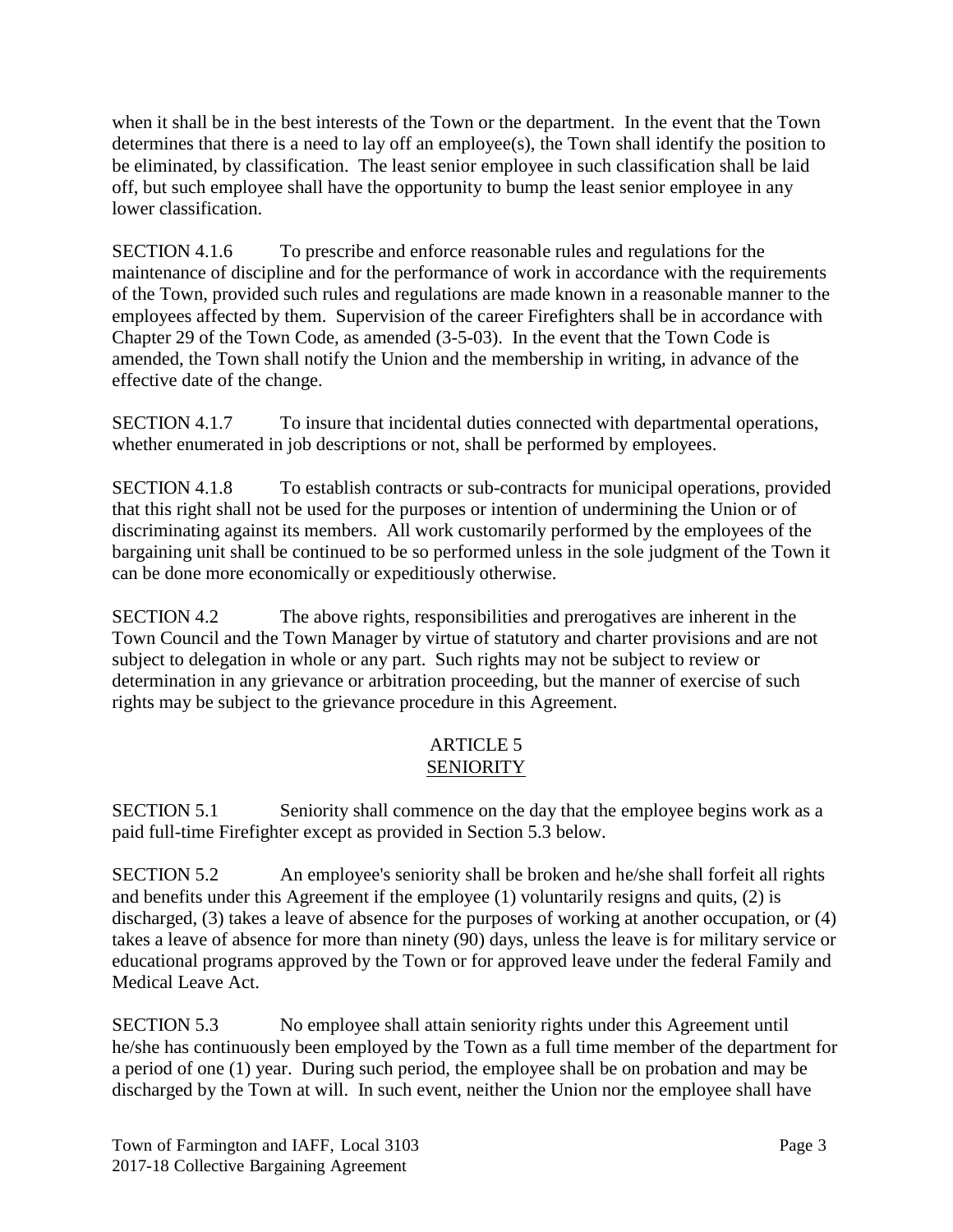when it shall be in the best interests of the Town or the department. In the event that the Town determines that there is a need to lay off an employee(s), the Town shall identify the position to be eliminated, by classification. The least senior employee in such classification shall be laid off, but such employee shall have the opportunity to bump the least senior employee in any lower classification.

SECTION 4.1.6 To prescribe and enforce reasonable rules and regulations for the maintenance of discipline and for the performance of work in accordance with the requirements of the Town, provided such rules and regulations are made known in a reasonable manner to the employees affected by them. Supervision of the career Firefighters shall be in accordance with Chapter 29 of the Town Code, as amended (3-5-03). In the event that the Town Code is amended, the Town shall notify the Union and the membership in writing, in advance of the effective date of the change.

SECTION 4.1.7 To insure that incidental duties connected with departmental operations, whether enumerated in job descriptions or not, shall be performed by employees.

SECTION 4.1.8 To establish contracts or sub-contracts for municipal operations, provided that this right shall not be used for the purposes or intention of undermining the Union or of discriminating against its members. All work customarily performed by the employees of the bargaining unit shall be continued to be so performed unless in the sole judgment of the Town it can be done more economically or expeditiously otherwise.

SECTION 4.2 The above rights, responsibilities and prerogatives are inherent in the Town Council and the Town Manager by virtue of statutory and charter provisions and are not subject to delegation in whole or any part. Such rights may not be subject to review or determination in any grievance or arbitration proceeding, but the manner of exercise of such rights may be subject to the grievance procedure in this Agreement.

### ARTICLE 5 SENIORITY

SECTION 5.1 Seniority shall commence on the day that the employee begins work as a paid full-time Firefighter except as provided in Section 5.3 below.

SECTION 5.2 An employee's seniority shall be broken and he/she shall forfeit all rights and benefits under this Agreement if the employee (1) voluntarily resigns and quits, (2) is discharged, (3) takes a leave of absence for the purposes of working at another occupation, or (4) takes a leave of absence for more than ninety (90) days, unless the leave is for military service or educational programs approved by the Town or for approved leave under the federal Family and Medical Leave Act.

SECTION 5.3 No employee shall attain seniority rights under this Agreement until he/she has continuously been employed by the Town as a full time member of the department for a period of one (1) year. During such period, the employee shall be on probation and may be discharged by the Town at will. In such event, neither the Union nor the employee shall have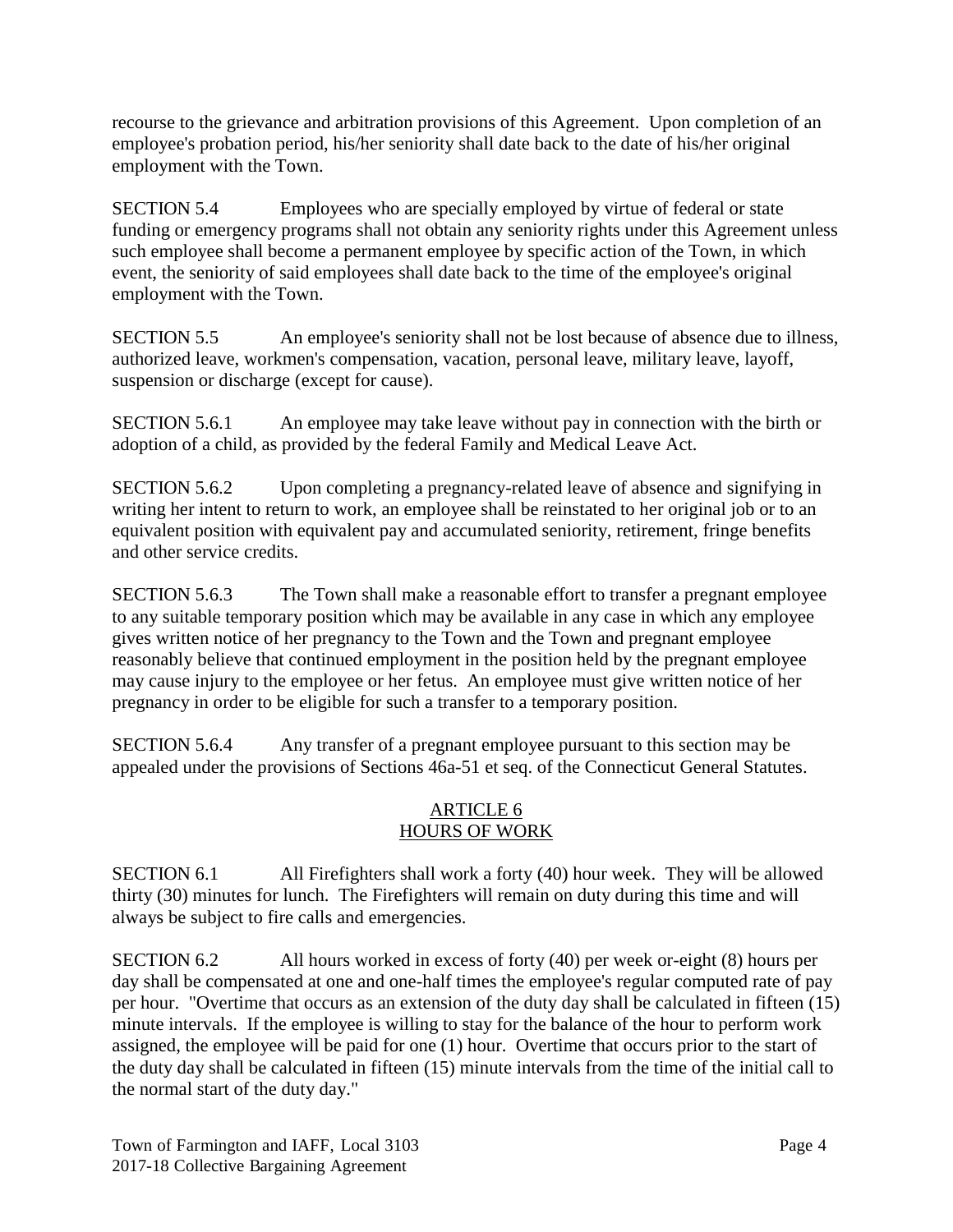recourse to the grievance and arbitration provisions of this Agreement. Upon completion of an employee's probation period, his/her seniority shall date back to the date of his/her original employment with the Town.

SECTION 5.4 Employees who are specially employed by virtue of federal or state funding or emergency programs shall not obtain any seniority rights under this Agreement unless such employee shall become a permanent employee by specific action of the Town, in which event, the seniority of said employees shall date back to the time of the employee's original employment with the Town.

SECTION 5.5 An employee's seniority shall not be lost because of absence due to illness, authorized leave, workmen's compensation, vacation, personal leave, military leave, layoff, suspension or discharge (except for cause).

SECTION 5.6.1 An employee may take leave without pay in connection with the birth or adoption of a child, as provided by the federal Family and Medical Leave Act.

SECTION 5.6.2 Upon completing a pregnancy-related leave of absence and signifying in writing her intent to return to work, an employee shall be reinstated to her original job or to an equivalent position with equivalent pay and accumulated seniority, retirement, fringe benefits and other service credits.

SECTION 5.6.3 The Town shall make a reasonable effort to transfer a pregnant employee to any suitable temporary position which may be available in any case in which any employee gives written notice of her pregnancy to the Town and the Town and pregnant employee reasonably believe that continued employment in the position held by the pregnant employee may cause injury to the employee or her fetus. An employee must give written notice of her pregnancy in order to be eligible for such a transfer to a temporary position.

SECTION 5.6.4 Any transfer of a pregnant employee pursuant to this section may be appealed under the provisions of Sections 46a-51 et seq. of the Connecticut General Statutes.

### ARTICLE 6 HOURS OF WORK

SECTION 6.1 All Firefighters shall work a forty (40) hour week. They will be allowed thirty (30) minutes for lunch. The Firefighters will remain on duty during this time and will always be subject to fire calls and emergencies.

SECTION 6.2 All hours worked in excess of forty (40) per week or-eight (8) hours per day shall be compensated at one and one-half times the employee's regular computed rate of pay per hour. "Overtime that occurs as an extension of the duty day shall be calculated in fifteen (15) minute intervals. If the employee is willing to stay for the balance of the hour to perform work assigned, the employee will be paid for one (1) hour. Overtime that occurs prior to the start of the duty day shall be calculated in fifteen (15) minute intervals from the time of the initial call to the normal start of the duty day."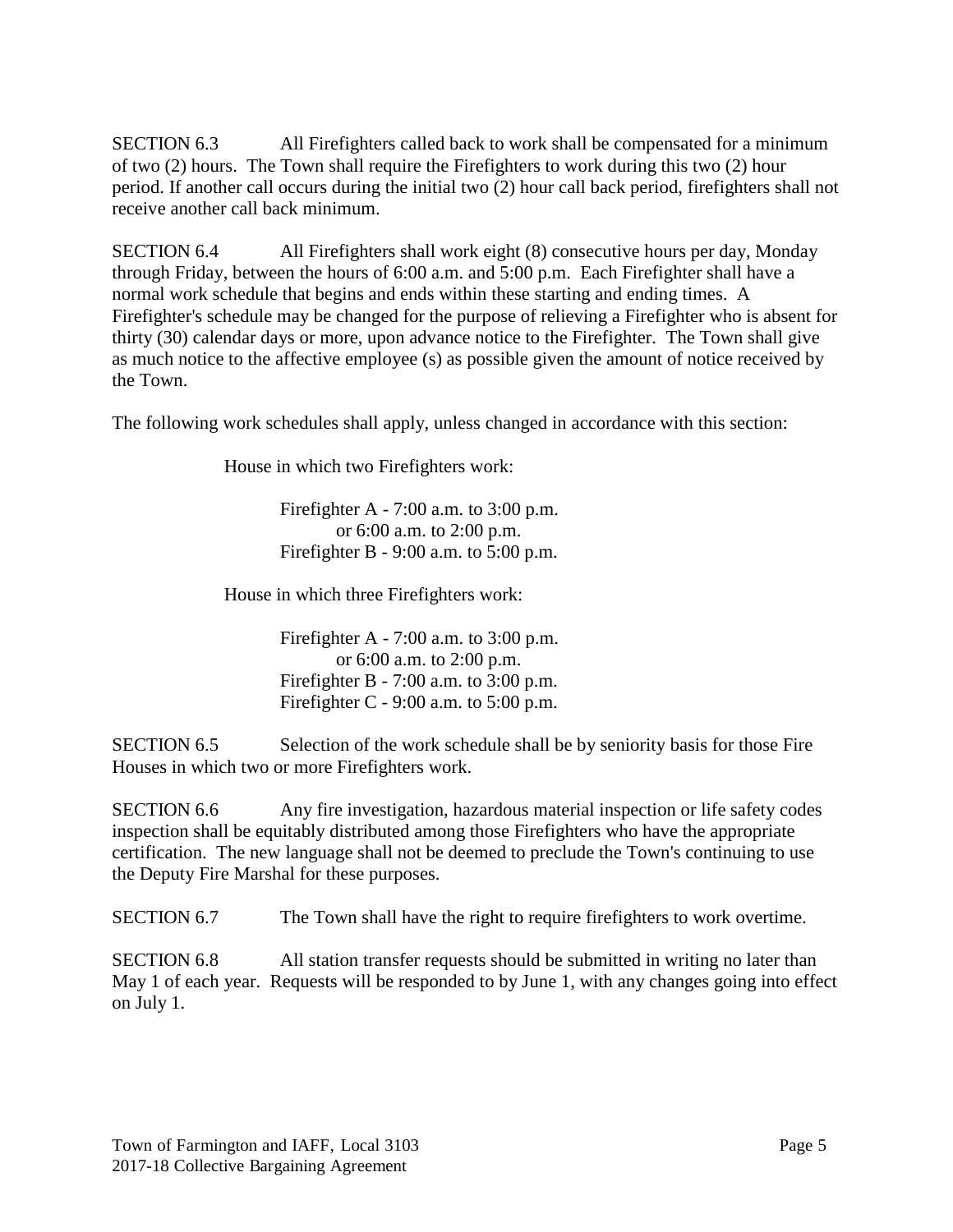SECTION 6.3 All Firefighters called back to work shall be compensated for a minimum of two (2) hours. The Town shall require the Firefighters to work during this two (2) hour period. If another call occurs during the initial two (2) hour call back period, firefighters shall not receive another call back minimum.

SECTION 6.4 All Firefighters shall work eight (8) consecutive hours per day, Monday through Friday, between the hours of 6:00 a.m. and 5:00 p.m. Each Firefighter shall have a normal work schedule that begins and ends within these starting and ending times. A Firefighter's schedule may be changed for the purpose of relieving a Firefighter who is absent for thirty (30) calendar days or more, upon advance notice to the Firefighter. The Town shall give as much notice to the affective employee (s) as possible given the amount of notice received by the Town.

The following work schedules shall apply, unless changed in accordance with this section:

House in which two Firefighters work:

Firefighter A - 7:00 a.m. to 3:00 p.m. or 6:00 a.m. to 2:00 p.m. Firefighter B - 9:00 a.m. to 5:00 p.m.

House in which three Firefighters work:

Firefighter A - 7:00 a.m. to 3:00 p.m. or 6:00 a.m. to 2:00 p.m. Firefighter B - 7:00 a.m. to 3:00 p.m. Firefighter C - 9:00 a.m. to  $5:00$  p.m.

SECTION 6.5 Selection of the work schedule shall be by seniority basis for those Fire Houses in which two or more Firefighters work.

SECTION 6.6 Any fire investigation, hazardous material inspection or life safety codes inspection shall be equitably distributed among those Firefighters who have the appropriate certification. The new language shall not be deemed to preclude the Town's continuing to use the Deputy Fire Marshal for these purposes.

SECTION 6.7 The Town shall have the right to require firefighters to work overtime.

SECTION 6.8 All station transfer requests should be submitted in writing no later than May 1 of each year. Requests will be responded to by June 1, with any changes going into effect on July 1.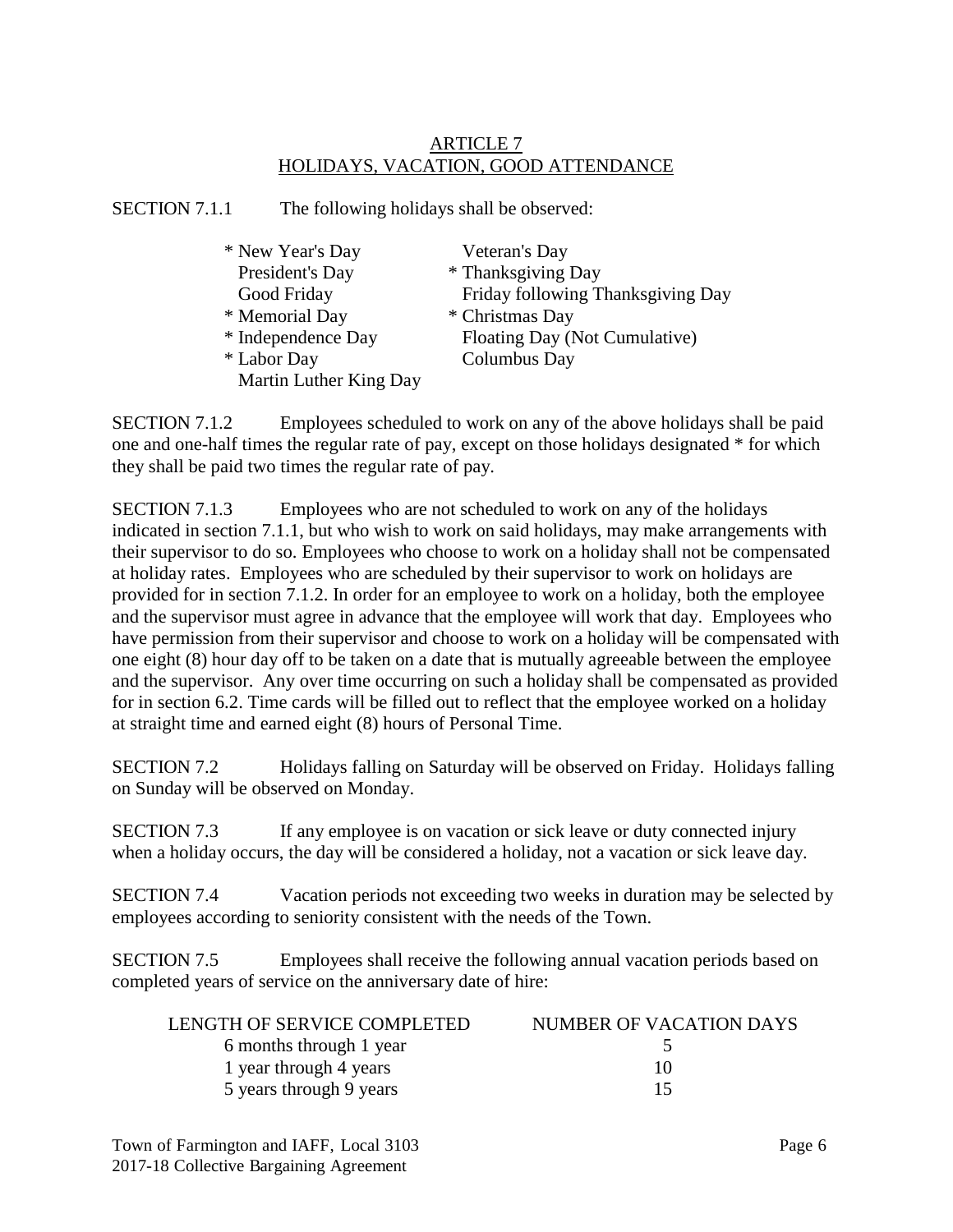### ARTICLE 7 HOLIDAYS, VACATION, GOOD ATTENDANCE

SECTION 7.1.1 The following holidays shall be observed:

| * New Year's Day       | Veteran's Day                     |
|------------------------|-----------------------------------|
| President's Day        | * Thanksgiving Day                |
| Good Friday            | Friday following Thanksgiving Day |
| * Memorial Day         | * Christmas Day                   |
| * Independence Day     | Floating Day (Not Cumulative)     |
| * Labor Day            | Columbus Day                      |
| Martin Luther King Day |                                   |

SECTION 7.1.2 Employees scheduled to work on any of the above holidays shall be paid one and one-half times the regular rate of pay, except on those holidays designated \* for which they shall be paid two times the regular rate of pay.

SECTION 7.1.3 Employees who are not scheduled to work on any of the holidays indicated in section 7.1.1, but who wish to work on said holidays, may make arrangements with their supervisor to do so. Employees who choose to work on a holiday shall not be compensated at holiday rates. Employees who are scheduled by their supervisor to work on holidays are provided for in section 7.1.2. In order for an employee to work on a holiday, both the employee and the supervisor must agree in advance that the employee will work that day. Employees who have permission from their supervisor and choose to work on a holiday will be compensated with one eight (8) hour day off to be taken on a date that is mutually agreeable between the employee and the supervisor. Any over time occurring on such a holiday shall be compensated as provided for in section 6.2. Time cards will be filled out to reflect that the employee worked on a holiday at straight time and earned eight (8) hours of Personal Time.

SECTION 7.2 Holidays falling on Saturday will be observed on Friday. Holidays falling on Sunday will be observed on Monday.

SECTION 7.3 If any employee is on vacation or sick leave or duty connected injury when a holiday occurs, the day will be considered a holiday, not a vacation or sick leave day.

SECTION 7.4 Vacation periods not exceeding two weeks in duration may be selected by employees according to seniority consistent with the needs of the Town.

SECTION 7.5 Employees shall receive the following annual vacation periods based on completed years of service on the anniversary date of hire:

| LENGTH OF SERVICE COMPLETED | NUMBER OF VACATION DAYS |
|-----------------------------|-------------------------|
| 6 months through 1 year     |                         |
| 1 year through 4 years      | 10                      |
| 5 years through 9 years     | 15                      |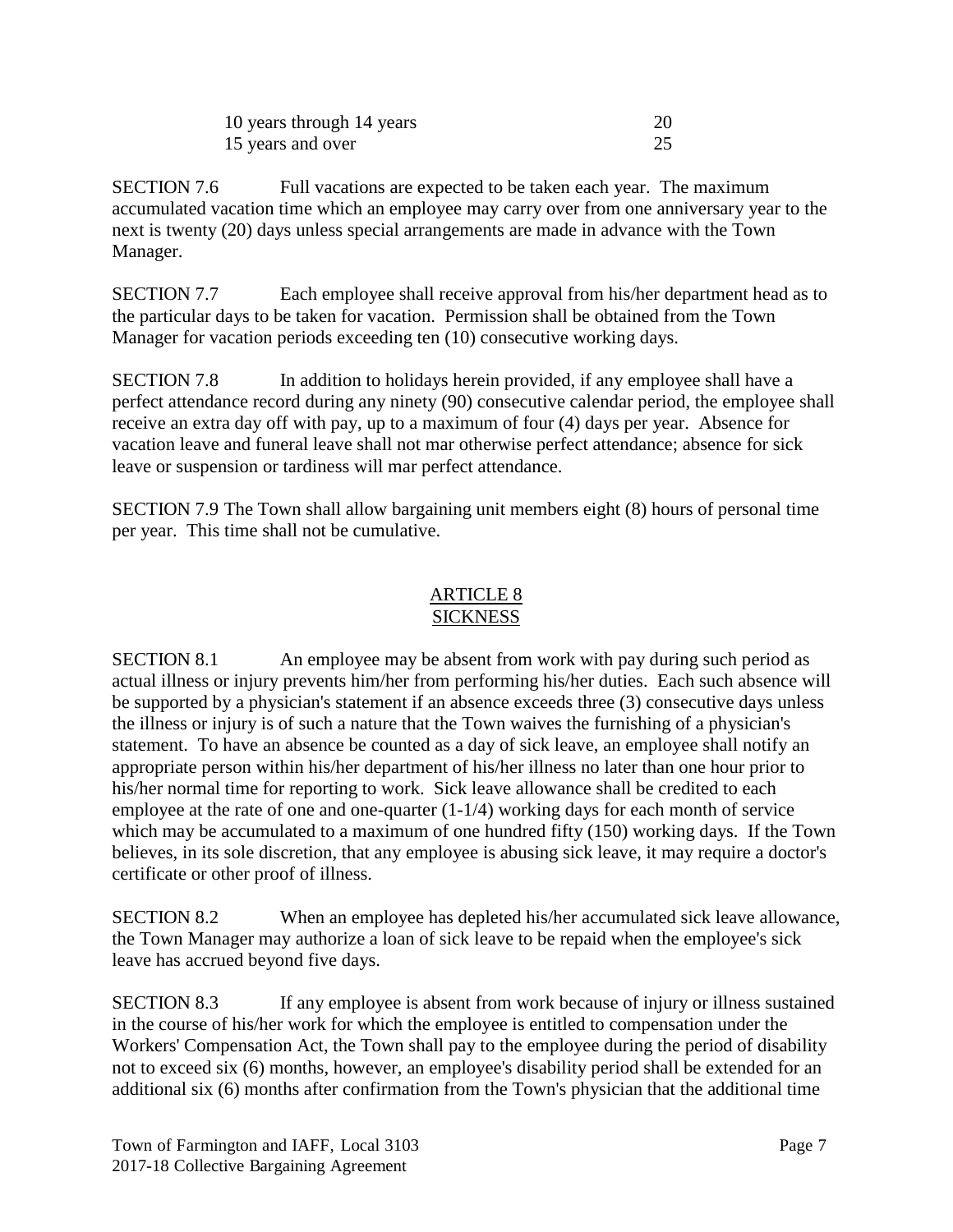| 10 years through 14 years |  |
|---------------------------|--|
| 15 years and over         |  |

SECTION 7.6 Full vacations are expected to be taken each year. The maximum accumulated vacation time which an employee may carry over from one anniversary year to the next is twenty (20) days unless special arrangements are made in advance with the Town Manager.

SECTION 7.7 Each employee shall receive approval from his/her department head as to the particular days to be taken for vacation. Permission shall be obtained from the Town Manager for vacation periods exceeding ten (10) consecutive working days.

SECTION 7.8 In addition to holidays herein provided, if any employee shall have a perfect attendance record during any ninety (90) consecutive calendar period, the employee shall receive an extra day off with pay, up to a maximum of four (4) days per year. Absence for vacation leave and funeral leave shall not mar otherwise perfect attendance; absence for sick leave or suspension or tardiness will mar perfect attendance.

SECTION 7.9 The Town shall allow bargaining unit members eight (8) hours of personal time per year. This time shall not be cumulative.

#### ARTICLE 8 **SICKNESS**

SECTION 8.1 An employee may be absent from work with pay during such period as actual illness or injury prevents him/her from performing his/her duties. Each such absence will be supported by a physician's statement if an absence exceeds three (3) consecutive days unless the illness or injury is of such a nature that the Town waives the furnishing of a physician's statement. To have an absence be counted as a day of sick leave, an employee shall notify an appropriate person within his/her department of his/her illness no later than one hour prior to his/her normal time for reporting to work. Sick leave allowance shall be credited to each employee at the rate of one and one-quarter (1-1/4) working days for each month of service which may be accumulated to a maximum of one hundred fifty (150) working days. If the Town believes, in its sole discretion, that any employee is abusing sick leave, it may require a doctor's certificate or other proof of illness.

SECTION 8.2 When an employee has depleted his/her accumulated sick leave allowance, the Town Manager may authorize a loan of sick leave to be repaid when the employee's sick leave has accrued beyond five days.

SECTION 8.3 If any employee is absent from work because of injury or illness sustained in the course of his/her work for which the employee is entitled to compensation under the Workers' Compensation Act, the Town shall pay to the employee during the period of disability not to exceed six (6) months, however, an employee's disability period shall be extended for an additional six (6) months after confirmation from the Town's physician that the additional time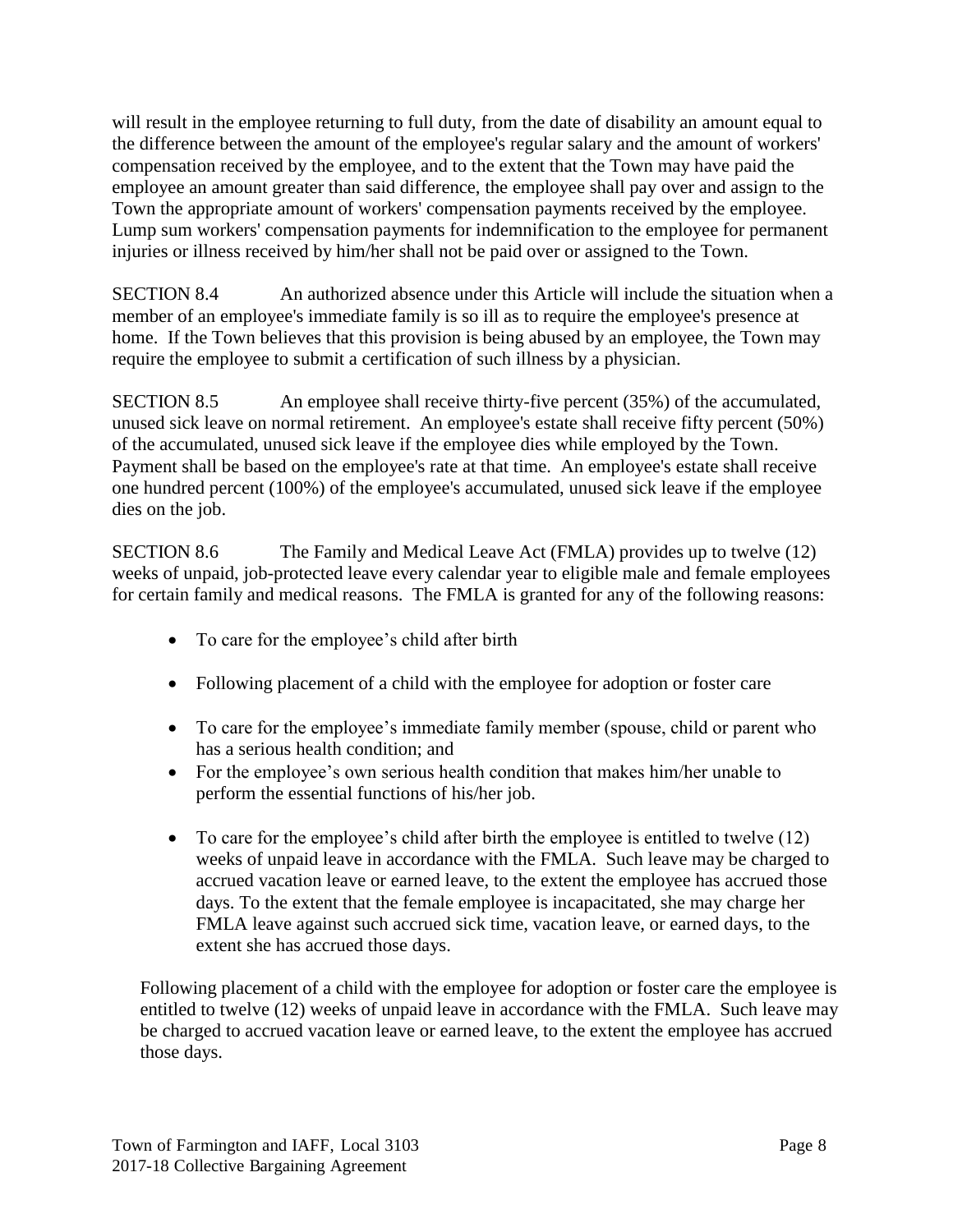will result in the employee returning to full duty, from the date of disability an amount equal to the difference between the amount of the employee's regular salary and the amount of workers' compensation received by the employee, and to the extent that the Town may have paid the employee an amount greater than said difference, the employee shall pay over and assign to the Town the appropriate amount of workers' compensation payments received by the employee. Lump sum workers' compensation payments for indemnification to the employee for permanent injuries or illness received by him/her shall not be paid over or assigned to the Town.

SECTION 8.4 An authorized absence under this Article will include the situation when a member of an employee's immediate family is so ill as to require the employee's presence at home. If the Town believes that this provision is being abused by an employee, the Town may require the employee to submit a certification of such illness by a physician.

SECTION 8.5 An employee shall receive thirty-five percent (35%) of the accumulated, unused sick leave on normal retirement. An employee's estate shall receive fifty percent (50%) of the accumulated, unused sick leave if the employee dies while employed by the Town. Payment shall be based on the employee's rate at that time. An employee's estate shall receive one hundred percent (100%) of the employee's accumulated, unused sick leave if the employee dies on the job.

SECTION 8.6 The Family and Medical Leave Act (FMLA) provides up to twelve (12) weeks of unpaid, job-protected leave every calendar year to eligible male and female employees for certain family and medical reasons. The FMLA is granted for any of the following reasons:

- To care for the employee's child after birth
- Following placement of a child with the employee for adoption or foster care
- To care for the employee's immediate family member (spouse, child or parent who has a serious health condition; and
- For the employee's own serious health condition that makes him/her unable to perform the essential functions of his/her job.
- To care for the employee's child after birth the employee is entitled to twelve (12) weeks of unpaid leave in accordance with the FMLA. Such leave may be charged to accrued vacation leave or earned leave, to the extent the employee has accrued those days. To the extent that the female employee is incapacitated, she may charge her FMLA leave against such accrued sick time, vacation leave, or earned days, to the extent she has accrued those days.

Following placement of a child with the employee for adoption or foster care the employee is entitled to twelve (12) weeks of unpaid leave in accordance with the FMLA. Such leave may be charged to accrued vacation leave or earned leave, to the extent the employee has accrued those days.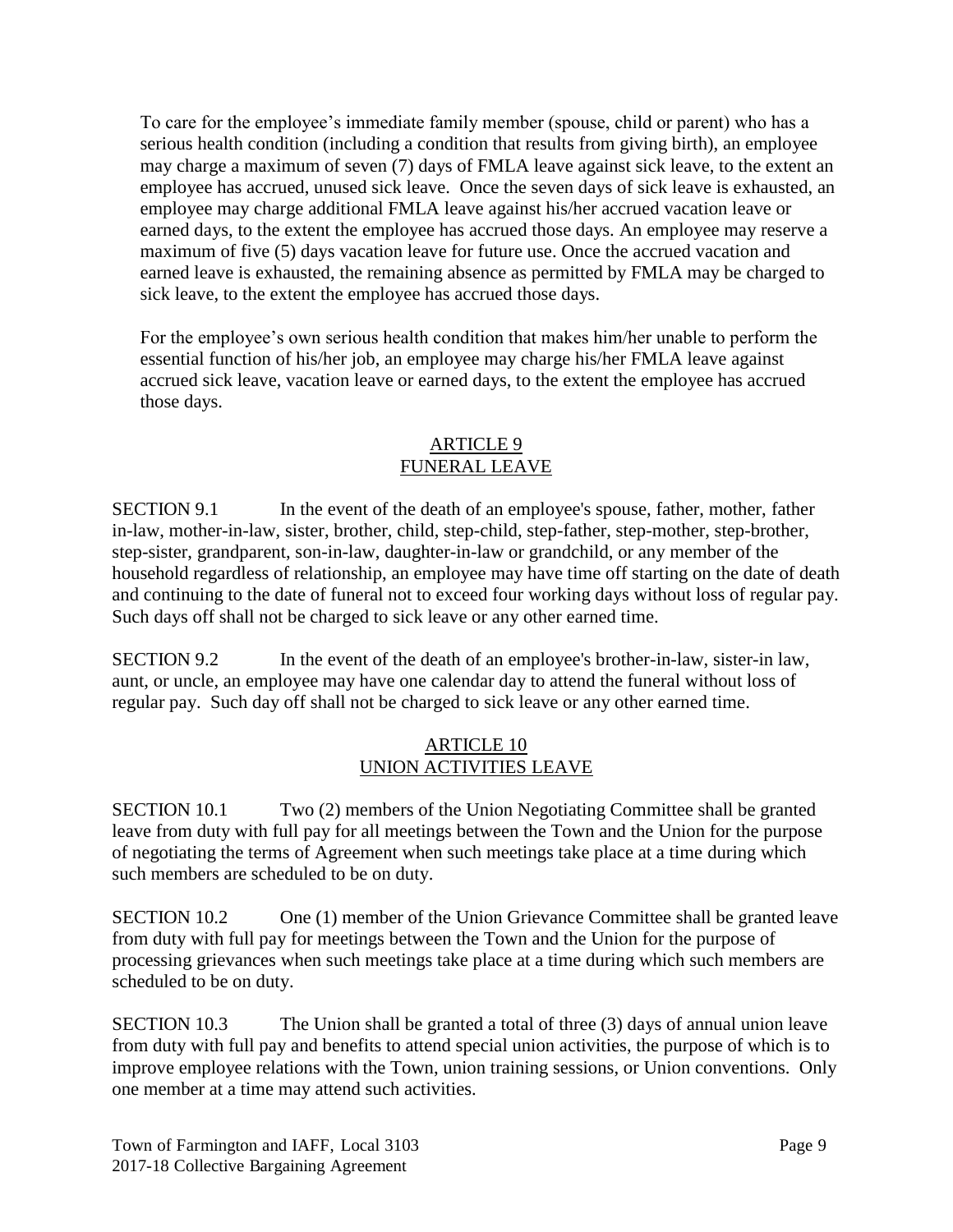To care for the employee's immediate family member (spouse, child or parent) who has a serious health condition (including a condition that results from giving birth), an employee may charge a maximum of seven (7) days of FMLA leave against sick leave, to the extent an employee has accrued, unused sick leave. Once the seven days of sick leave is exhausted, an employee may charge additional FMLA leave against his/her accrued vacation leave or earned days, to the extent the employee has accrued those days. An employee may reserve a maximum of five (5) days vacation leave for future use. Once the accrued vacation and earned leave is exhausted, the remaining absence as permitted by FMLA may be charged to sick leave, to the extent the employee has accrued those days.

For the employee's own serious health condition that makes him/her unable to perform the essential function of his/her job, an employee may charge his/her FMLA leave against accrued sick leave, vacation leave or earned days, to the extent the employee has accrued those days.

## ARTICLE 9 FUNERAL LEAVE

SECTION 9.1 In the event of the death of an employee's spouse, father, mother, father in-law, mother-in-law, sister, brother, child, step-child, step-father, step-mother, step-brother, step-sister, grandparent, son-in-law, daughter-in-law or grandchild, or any member of the household regardless of relationship, an employee may have time off starting on the date of death and continuing to the date of funeral not to exceed four working days without loss of regular pay. Such days off shall not be charged to sick leave or any other earned time.

SECTION 9.2 In the event of the death of an employee's brother-in-law, sister-in law, aunt, or uncle, an employee may have one calendar day to attend the funeral without loss of regular pay. Such day off shall not be charged to sick leave or any other earned time.

### ARTICLE 10 UNION ACTIVITIES LEAVE

SECTION 10.1 Two (2) members of the Union Negotiating Committee shall be granted leave from duty with full pay for all meetings between the Town and the Union for the purpose of negotiating the terms of Agreement when such meetings take place at a time during which such members are scheduled to be on duty.

SECTION 10.2 One (1) member of the Union Grievance Committee shall be granted leave from duty with full pay for meetings between the Town and the Union for the purpose of processing grievances when such meetings take place at a time during which such members are scheduled to be on duty.

SECTION 10.3 The Union shall be granted a total of three (3) days of annual union leave from duty with full pay and benefits to attend special union activities, the purpose of which is to improve employee relations with the Town, union training sessions, or Union conventions. Only one member at a time may attend such activities.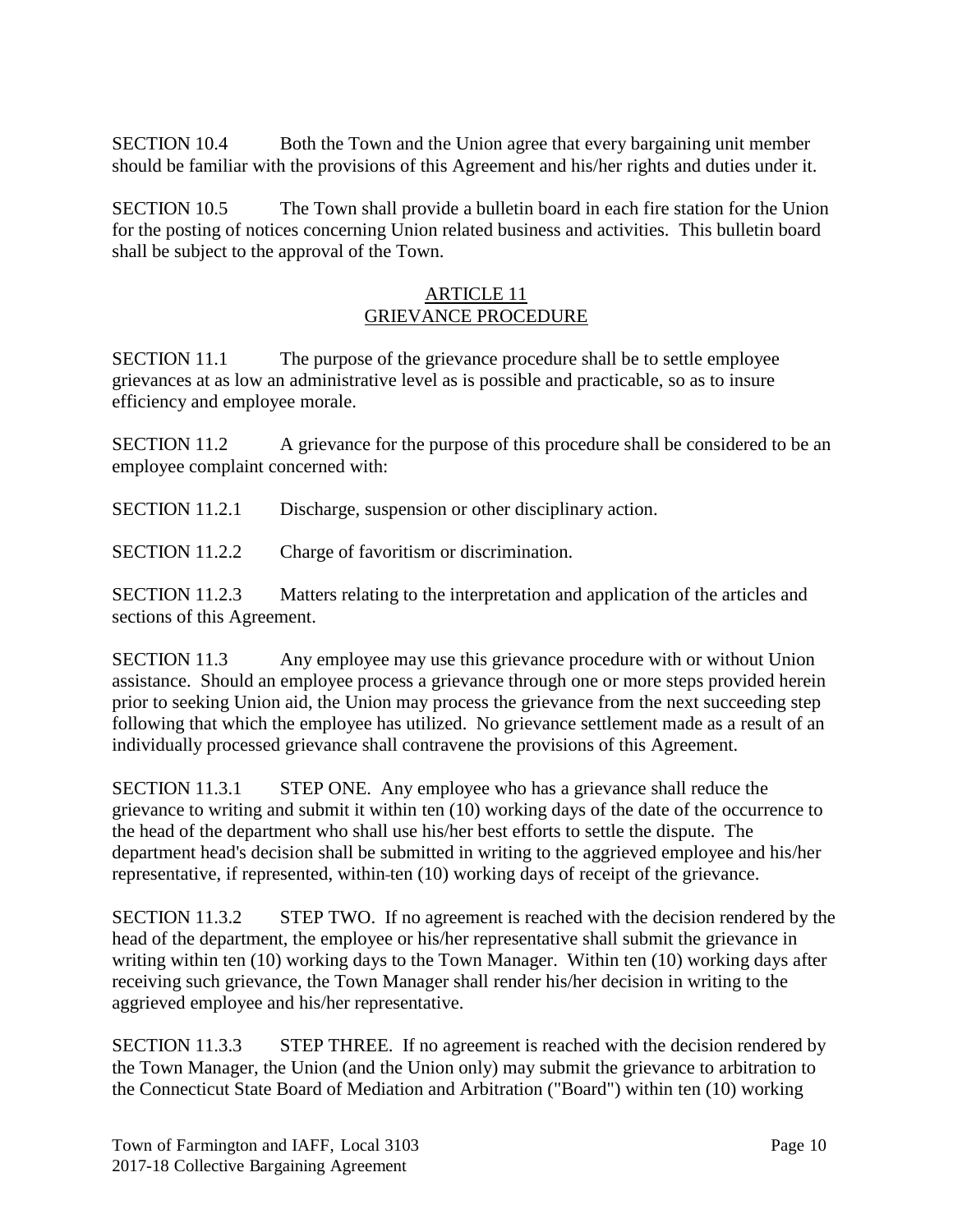SECTION 10.4 Both the Town and the Union agree that every bargaining unit member should be familiar with the provisions of this Agreement and his/her rights and duties under it.

SECTION 10.5 The Town shall provide a bulletin board in each fire station for the Union for the posting of notices concerning Union related business and activities. This bulletin board shall be subject to the approval of the Town.

### ARTICLE 11 GRIEVANCE PROCEDURE

SECTION 11.1 The purpose of the grievance procedure shall be to settle employee grievances at as low an administrative level as is possible and practicable, so as to insure efficiency and employee morale.

SECTION 11.2 A grievance for the purpose of this procedure shall be considered to be an employee complaint concerned with:

SECTION 11.2.1 Discharge, suspension or other disciplinary action.

SECTION 11.2.2 Charge of favoritism or discrimination.

SECTION 11.2.3 Matters relating to the interpretation and application of the articles and sections of this Agreement.

SECTION 11.3 Any employee may use this grievance procedure with or without Union assistance. Should an employee process a grievance through one or more steps provided herein prior to seeking Union aid, the Union may process the grievance from the next succeeding step following that which the employee has utilized. No grievance settlement made as a result of an individually processed grievance shall contravene the provisions of this Agreement.

SECTION 11.3.1 STEP ONE. Any employee who has a grievance shall reduce the grievance to writing and submit it within ten (10) working days of the date of the occurrence to the head of the department who shall use his/her best efforts to settle the dispute. The department head's decision shall be submitted in writing to the aggrieved employee and his/her representative, if represented, within ten (10) working days of receipt of the grievance.

SECTION 11.3.2 STEP TWO. If no agreement is reached with the decision rendered by the head of the department, the employee or his/her representative shall submit the grievance in writing within ten (10) working days to the Town Manager. Within ten (10) working days after receiving such grievance, the Town Manager shall render his/her decision in writing to the aggrieved employee and his/her representative.

SECTION 11.3.3 STEP THREE. If no agreement is reached with the decision rendered by the Town Manager, the Union (and the Union only) may submit the grievance to arbitration to the Connecticut State Board of Mediation and Arbitration ("Board") within ten (10) working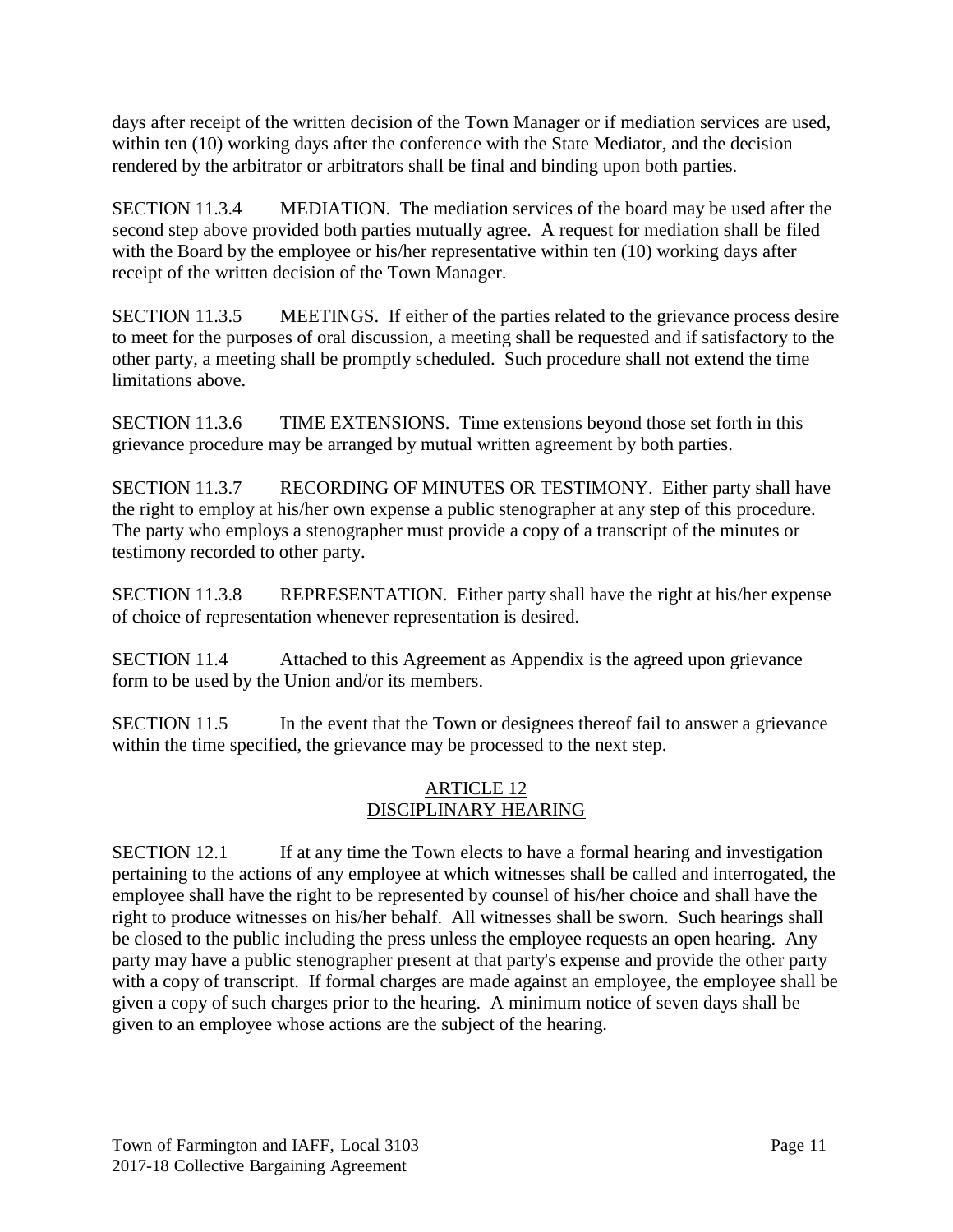days after receipt of the written decision of the Town Manager or if mediation services are used, within ten (10) working days after the conference with the State Mediator, and the decision rendered by the arbitrator or arbitrators shall be final and binding upon both parties.

SECTION 11.3.4 MEDIATION. The mediation services of the board may be used after the second step above provided both parties mutually agree. A request for mediation shall be filed with the Board by the employee or his/her representative within ten (10) working days after receipt of the written decision of the Town Manager.

SECTION 11.3.5 MEETINGS. If either of the parties related to the grievance process desire to meet for the purposes of oral discussion, a meeting shall be requested and if satisfactory to the other party, a meeting shall be promptly scheduled. Such procedure shall not extend the time limitations above.

SECTION 11.3.6 TIME EXTENSIONS. Time extensions beyond those set forth in this grievance procedure may be arranged by mutual written agreement by both parties.

SECTION 11.3.7 RECORDING OF MINUTES OR TESTIMONY. Either party shall have the right to employ at his/her own expense a public stenographer at any step of this procedure. The party who employs a stenographer must provide a copy of a transcript of the minutes or testimony recorded to other party.

SECTION 11.3.8 REPRESENTATION. Either party shall have the right at his/her expense of choice of representation whenever representation is desired.

SECTION 11.4 Attached to this Agreement as Appendix is the agreed upon grievance form to be used by the Union and/or its members.

SECTION 11.5 In the event that the Town or designees thereof fail to answer a grievance within the time specified, the grievance may be processed to the next step.

### ARTICLE 12 DISCIPLINARY HEARING

SECTION 12.1 If at any time the Town elects to have a formal hearing and investigation pertaining to the actions of any employee at which witnesses shall be called and interrogated, the employee shall have the right to be represented by counsel of his/her choice and shall have the right to produce witnesses on his/her behalf. All witnesses shall be sworn. Such hearings shall be closed to the public including the press unless the employee requests an open hearing. Any party may have a public stenographer present at that party's expense and provide the other party with a copy of transcript. If formal charges are made against an employee, the employee shall be given a copy of such charges prior to the hearing. A minimum notice of seven days shall be given to an employee whose actions are the subject of the hearing.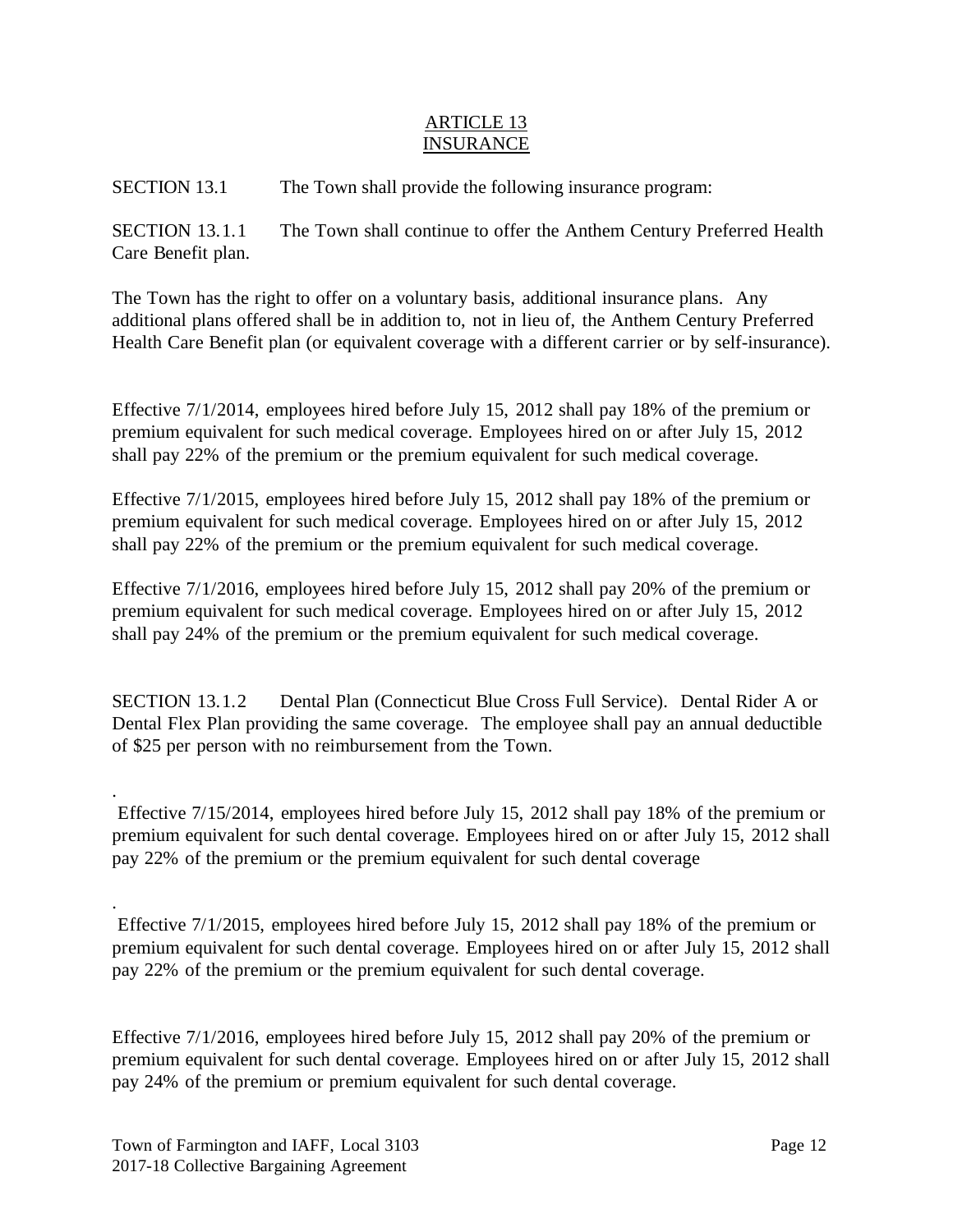### ARTICLE 13 INSURANCE

SECTION 13.1 The Town shall provide the following insurance program:

SECTION 13.1.1 The Town shall continue to offer the Anthem Century Preferred Health Care Benefit plan.

The Town has the right to offer on a voluntary basis, additional insurance plans. Any additional plans offered shall be in addition to, not in lieu of, the Anthem Century Preferred Health Care Benefit plan (or equivalent coverage with a different carrier or by self-insurance).

Effective 7/1/2014, employees hired before July 15, 2012 shall pay 18% of the premium or premium equivalent for such medical coverage. Employees hired on or after July 15, 2012 shall pay 22% of the premium or the premium equivalent for such medical coverage.

Effective 7/1/2015, employees hired before July 15, 2012 shall pay 18% of the premium or premium equivalent for such medical coverage. Employees hired on or after July 15, 2012 shall pay 22% of the premium or the premium equivalent for such medical coverage.

Effective 7/1/2016, employees hired before July 15, 2012 shall pay 20% of the premium or premium equivalent for such medical coverage. Employees hired on or after July 15, 2012 shall pay 24% of the premium or the premium equivalent for such medical coverage.

SECTION 13.1.2 Dental Plan (Connecticut Blue Cross Full Service). Dental Rider A or Dental Flex Plan providing the same coverage. The employee shall pay an annual deductible of \$25 per person with no reimbursement from the Town.

Effective 7/15/2014, employees hired before July 15, 2012 shall pay 18% of the premium or premium equivalent for such dental coverage. Employees hired on or after July 15, 2012 shall pay 22% of the premium or the premium equivalent for such dental coverage

Effective 7/1/2015, employees hired before July 15, 2012 shall pay 18% of the premium or premium equivalent for such dental coverage. Employees hired on or after July 15, 2012 shall pay 22% of the premium or the premium equivalent for such dental coverage.

Effective 7/1/2016, employees hired before July 15, 2012 shall pay 20% of the premium or premium equivalent for such dental coverage. Employees hired on or after July 15, 2012 shall pay 24% of the premium or premium equivalent for such dental coverage.

.

.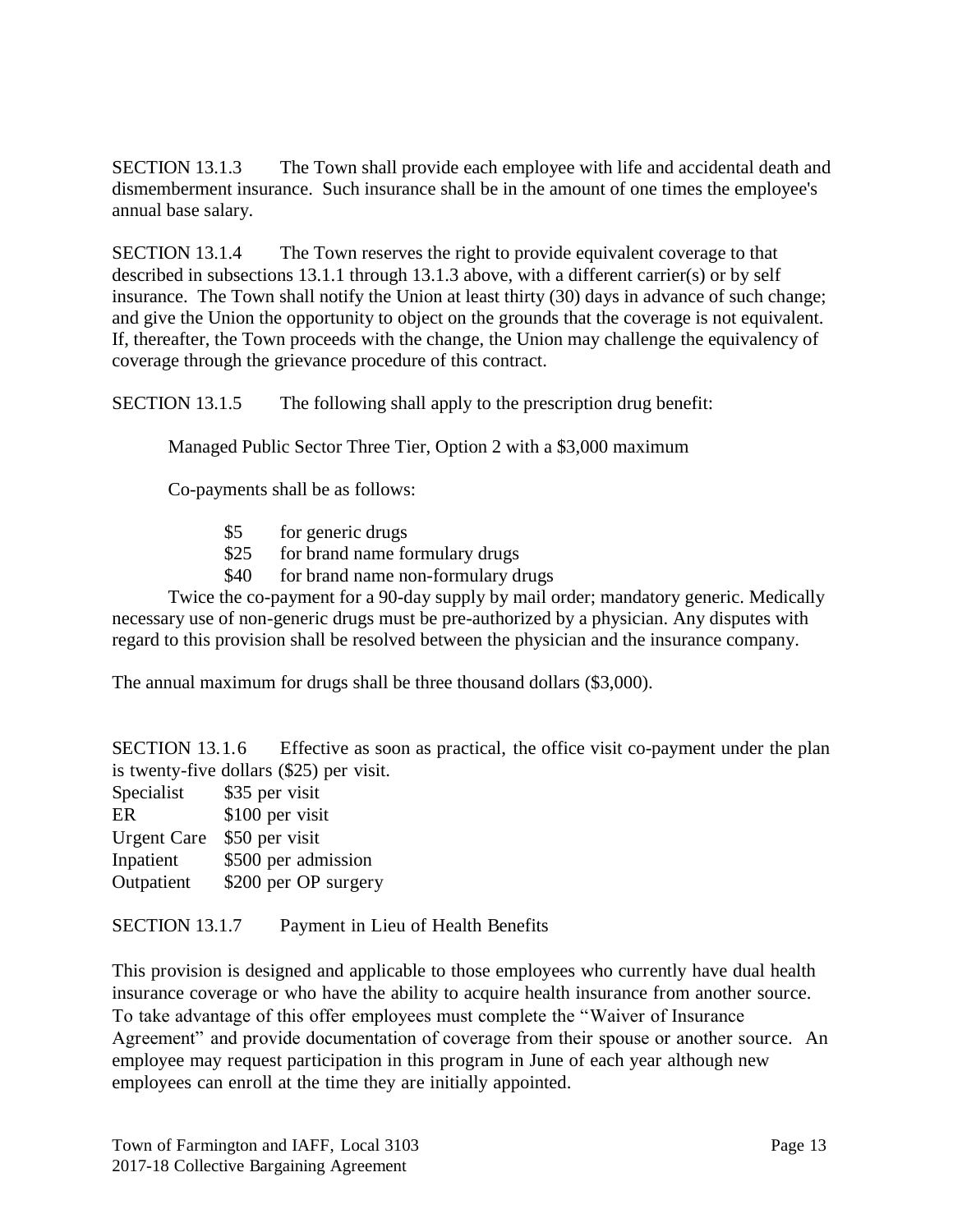SECTION 13.1.3 The Town shall provide each employee with life and accidental death and dismemberment insurance. Such insurance shall be in the amount of one times the employee's annual base salary.

SECTION 13.1.4 The Town reserves the right to provide equivalent coverage to that described in subsections 13.1.1 through 13.1.3 above, with a different carrier(s) or by self insurance. The Town shall notify the Union at least thirty (30) days in advance of such change; and give the Union the opportunity to object on the grounds that the coverage is not equivalent. If, thereafter, the Town proceeds with the change, the Union may challenge the equivalency of coverage through the grievance procedure of this contract.

SECTION 13.1.5 The following shall apply to the prescription drug benefit:

Managed Public Sector Three Tier, Option 2 with a \$3,000 maximum

Co-payments shall be as follows:

- \$5 for generic drugs
- \$25 for brand name formulary drugs
- \$40 for brand name non-formulary drugs

Twice the co-payment for a 90-day supply by mail order; mandatory generic. Medically necessary use of non-generic drugs must be pre-authorized by a physician. Any disputes with regard to this provision shall be resolved between the physician and the insurance company.

The annual maximum for drugs shall be three thousand dollars (\$3,000).

SECTION 13.1.6 Effective as soon as practical, the office visit co-payment under the plan is twenty-five dollars (\$25) per visit.

| \$35 per visit       |
|----------------------|
| \$100 per visit      |
| \$50 per visit       |
| \$500 per admission  |
| \$200 per OP surgery |
|                      |

SECTION 13.1.7 Payment in Lieu of Health Benefits

This provision is designed and applicable to those employees who currently have dual health insurance coverage or who have the ability to acquire health insurance from another source. To take advantage of this offer employees must complete the "Waiver of Insurance Agreement" and provide documentation of coverage from their spouse or another source. An employee may request participation in this program in June of each year although new employees can enroll at the time they are initially appointed.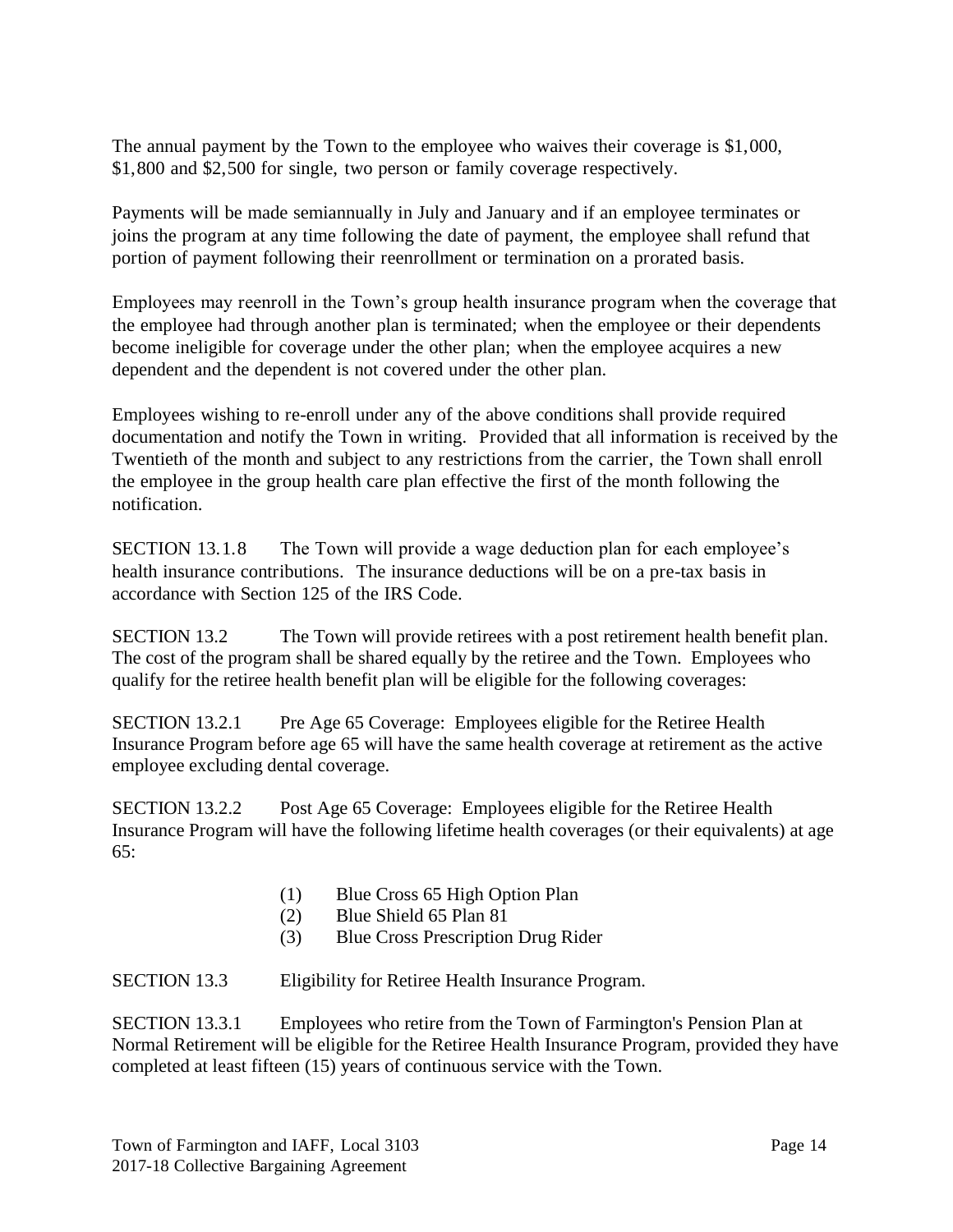The annual payment by the Town to the employee who waives their coverage is \$1,000, \$1,800 and \$2,500 for single, two person or family coverage respectively.

Payments will be made semiannually in July and January and if an employee terminates or joins the program at any time following the date of payment, the employee shall refund that portion of payment following their reenrollment or termination on a prorated basis.

Employees may reenroll in the Town's group health insurance program when the coverage that the employee had through another plan is terminated; when the employee or their dependents become ineligible for coverage under the other plan; when the employee acquires a new dependent and the dependent is not covered under the other plan.

Employees wishing to re-enroll under any of the above conditions shall provide required documentation and notify the Town in writing. Provided that all information is received by the Twentieth of the month and subject to any restrictions from the carrier, the Town shall enroll the employee in the group health care plan effective the first of the month following the notification.

SECTION 13.1.8 The Town will provide a wage deduction plan for each employee's health insurance contributions. The insurance deductions will be on a pre-tax basis in accordance with Section 125 of the IRS Code.

SECTION 13.2 The Town will provide retirees with a post retirement health benefit plan. The cost of the program shall be shared equally by the retiree and the Town. Employees who qualify for the retiree health benefit plan will be eligible for the following coverages:

SECTION 13.2.1 Pre Age 65 Coverage: Employees eligible for the Retiree Health Insurance Program before age 65 will have the same health coverage at retirement as the active employee excluding dental coverage.

SECTION 13.2.2 Post Age 65 Coverage: Employees eligible for the Retiree Health Insurance Program will have the following lifetime health coverages (or their equivalents) at age 65:

- (1) Blue Cross 65 High Option Plan
- (2) Blue Shield 65 Plan 81
- (3) Blue Cross Prescription Drug Rider

SECTION 13.3 Eligibility for Retiree Health Insurance Program.

SECTION 13.3.1 Employees who retire from the Town of Farmington's Pension Plan at Normal Retirement will be eligible for the Retiree Health Insurance Program, provided they have completed at least fifteen (15) years of continuous service with the Town.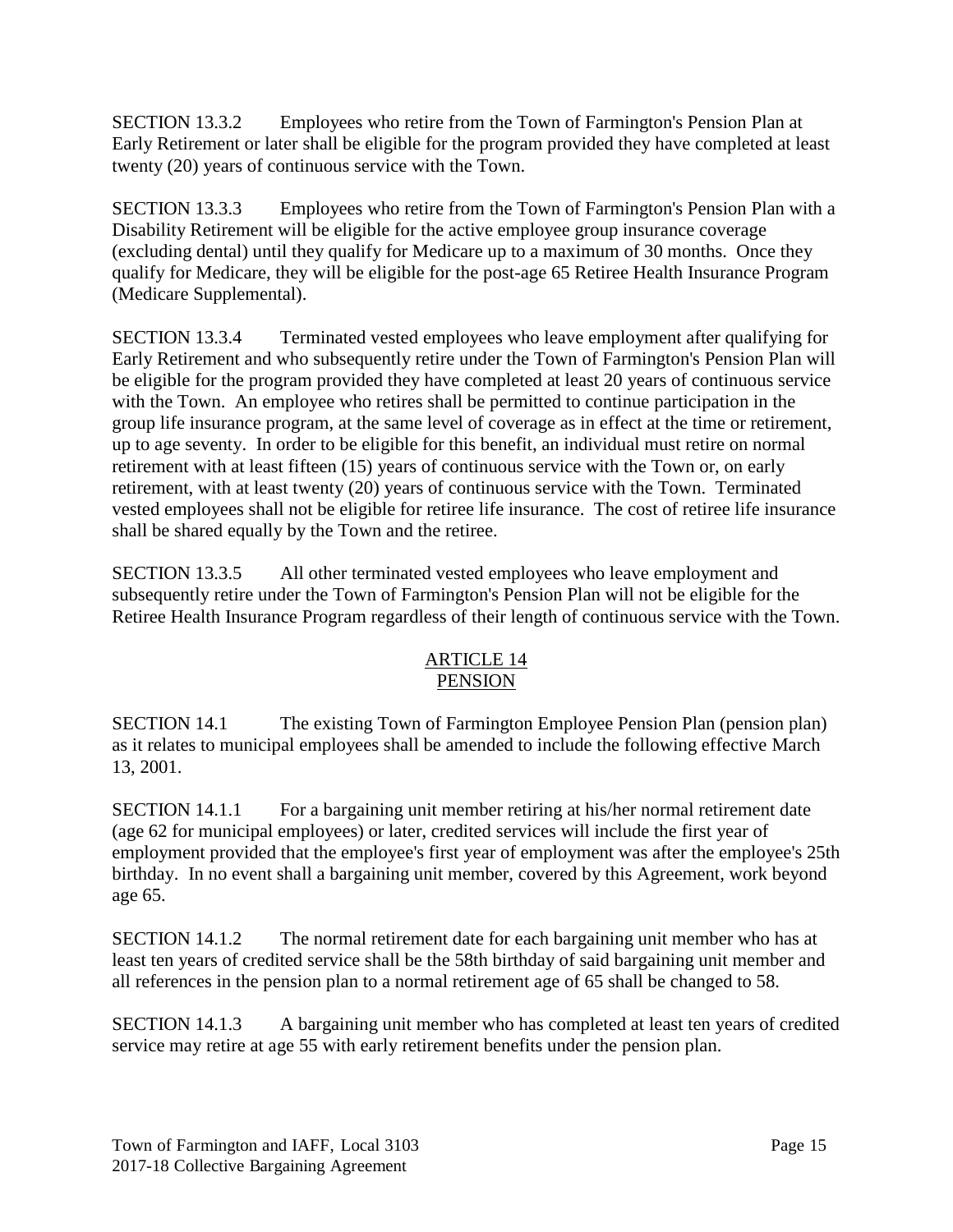SECTION 13.3.2 Employees who retire from the Town of Farmington's Pension Plan at Early Retirement or later shall be eligible for the program provided they have completed at least twenty (20) years of continuous service with the Town.

SECTION 13.3.3 Employees who retire from the Town of Farmington's Pension Plan with a Disability Retirement will be eligible for the active employee group insurance coverage (excluding dental) until they qualify for Medicare up to a maximum of 30 months. Once they qualify for Medicare, they will be eligible for the post-age 65 Retiree Health Insurance Program (Medicare Supplemental).

SECTION 13.3.4 Terminated vested employees who leave employment after qualifying for Early Retirement and who subsequently retire under the Town of Farmington's Pension Plan will be eligible for the program provided they have completed at least 20 years of continuous service with the Town. An employee who retires shall be permitted to continue participation in the group life insurance program, at the same level of coverage as in effect at the time or retirement, up to age seventy. In order to be eligible for this benefit, an individual must retire on normal retirement with at least fifteen (15) years of continuous service with the Town or, on early retirement, with at least twenty (20) years of continuous service with the Town. Terminated vested employees shall not be eligible for retiree life insurance. The cost of retiree life insurance shall be shared equally by the Town and the retiree.

SECTION 13.3.5 All other terminated vested employees who leave employment and subsequently retire under the Town of Farmington's Pension Plan will not be eligible for the Retiree Health Insurance Program regardless of their length of continuous service with the Town.

## ARTICLE 14 **PENSION**

SECTION 14.1 The existing Town of Farmington Employee Pension Plan (pension plan) as it relates to municipal employees shall be amended to include the following effective March 13, 2001.

SECTION 14.1.1 For a bargaining unit member retiring at his/her normal retirement date (age 62 for municipal employees) or later, credited services will include the first year of employment provided that the employee's first year of employment was after the employee's 25th birthday. In no event shall a bargaining unit member, covered by this Agreement, work beyond age 65.

SECTION 14.1.2 The normal retirement date for each bargaining unit member who has at least ten years of credited service shall be the 58th birthday of said bargaining unit member and all references in the pension plan to a normal retirement age of 65 shall be changed to 58.

SECTION 14.1.3 A bargaining unit member who has completed at least ten years of credited service may retire at age 55 with early retirement benefits under the pension plan.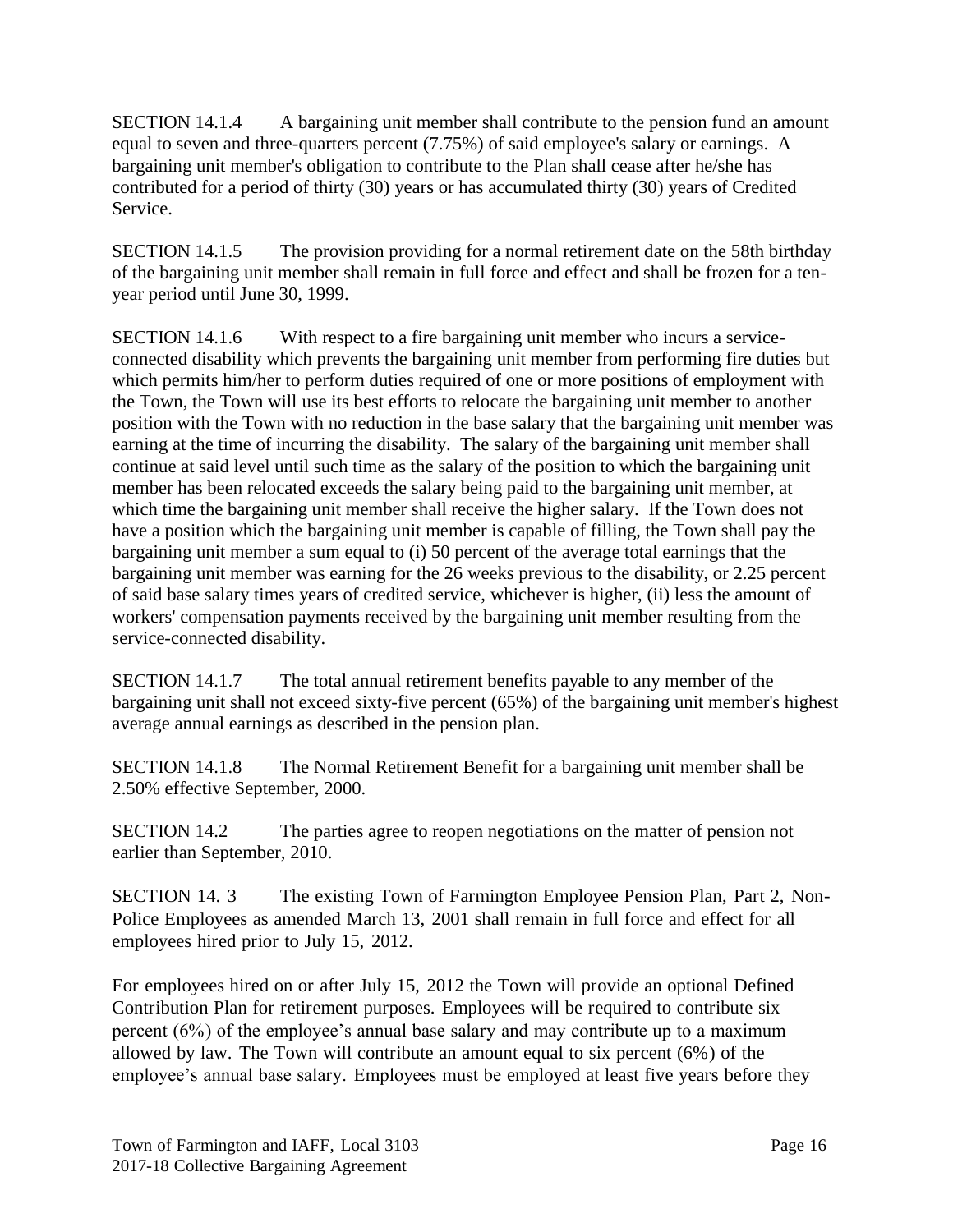SECTION 14.1.4 A bargaining unit member shall contribute to the pension fund an amount equal to seven and three-quarters percent (7.75%) of said employee's salary or earnings. A bargaining unit member's obligation to contribute to the Plan shall cease after he/she has contributed for a period of thirty (30) years or has accumulated thirty (30) years of Credited Service.

SECTION 14.1.5 The provision providing for a normal retirement date on the 58th birthday of the bargaining unit member shall remain in full force and effect and shall be frozen for a tenyear period until June 30, 1999.

SECTION 14.1.6 With respect to a fire bargaining unit member who incurs a serviceconnected disability which prevents the bargaining unit member from performing fire duties but which permits him/her to perform duties required of one or more positions of employment with the Town, the Town will use its best efforts to relocate the bargaining unit member to another position with the Town with no reduction in the base salary that the bargaining unit member was earning at the time of incurring the disability. The salary of the bargaining unit member shall continue at said level until such time as the salary of the position to which the bargaining unit member has been relocated exceeds the salary being paid to the bargaining unit member, at which time the bargaining unit member shall receive the higher salary. If the Town does not have a position which the bargaining unit member is capable of filling, the Town shall pay the bargaining unit member a sum equal to (i) 50 percent of the average total earnings that the bargaining unit member was earning for the 26 weeks previous to the disability, or 2.25 percent of said base salary times years of credited service, whichever is higher, (ii) less the amount of workers' compensation payments received by the bargaining unit member resulting from the service-connected disability.

SECTION 14.1.7 The total annual retirement benefits payable to any member of the bargaining unit shall not exceed sixty-five percent (65%) of the bargaining unit member's highest average annual earnings as described in the pension plan.

SECTION 14.1.8 The Normal Retirement Benefit for a bargaining unit member shall be 2.50% effective September, 2000.

SECTION 14.2 The parties agree to reopen negotiations on the matter of pension not earlier than September, 2010.

SECTION 14. 3 The existing Town of Farmington Employee Pension Plan, Part 2, Non-Police Employees as amended March 13, 2001 shall remain in full force and effect for all employees hired prior to July 15, 2012.

For employees hired on or after July 15, 2012 the Town will provide an optional Defined Contribution Plan for retirement purposes. Employees will be required to contribute six percent (6%) of the employee's annual base salary and may contribute up to a maximum allowed by law. The Town will contribute an amount equal to six percent (6%) of the employee's annual base salary. Employees must be employed at least five years before they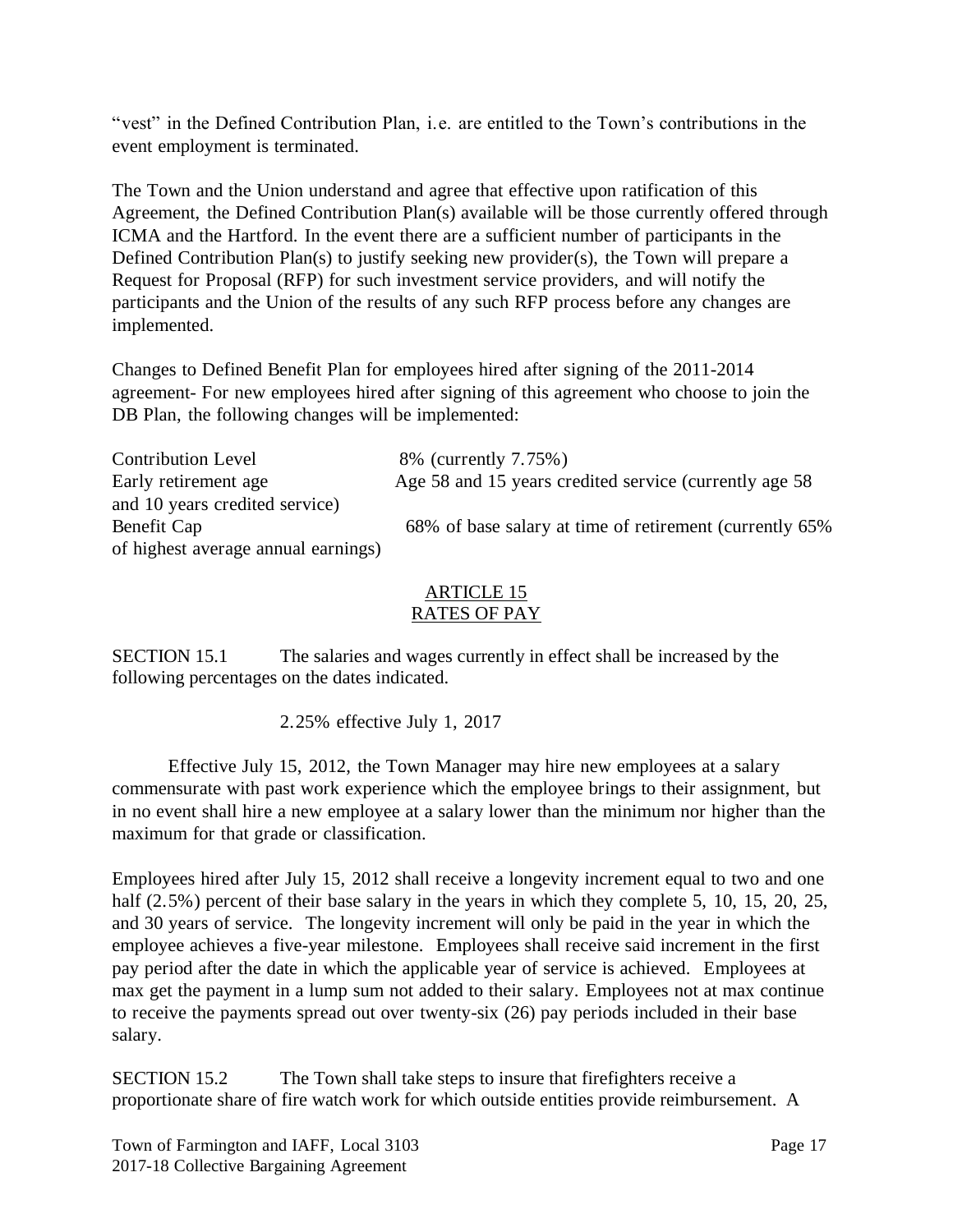"vest" in the Defined Contribution Plan, i.e. are entitled to the Town's contributions in the event employment is terminated.

The Town and the Union understand and agree that effective upon ratification of this Agreement, the Defined Contribution Plan(s) available will be those currently offered through ICMA and the Hartford. In the event there are a sufficient number of participants in the Defined Contribution Plan(s) to justify seeking new provider(s), the Town will prepare a Request for Proposal (RFP) for such investment service providers, and will notify the participants and the Union of the results of any such RFP process before any changes are implemented.

Changes to Defined Benefit Plan for employees hired after signing of the 2011-2014 agreement- For new employees hired after signing of this agreement who choose to join the DB Plan, the following changes will be implemented:

Contribution Level 8% (currently 7.75%) Early retirement age Age 58 and 15 years credited service (currently age 58 and 10 years credited service) Benefit Cap 68% of base salary at time of retirement (currently 65%) of highest average annual earnings)

#### ARTICLE 15 RATES OF PAY

SECTION 15.1 The salaries and wages currently in effect shall be increased by the following percentages on the dates indicated.

2.25% effective July 1, 2017

Effective July 15, 2012, the Town Manager may hire new employees at a salary commensurate with past work experience which the employee brings to their assignment, but in no event shall hire a new employee at a salary lower than the minimum nor higher than the maximum for that grade or classification.

Employees hired after July 15, 2012 shall receive a longevity increment equal to two and one half (2.5%) percent of their base salary in the years in which they complete 5, 10, 15, 20, 25, and 30 years of service. The longevity increment will only be paid in the year in which the employee achieves a five-year milestone. Employees shall receive said increment in the first pay period after the date in which the applicable year of service is achieved. Employees at max get the payment in a lump sum not added to their salary. Employees not at max continue to receive the payments spread out over twenty-six (26) pay periods included in their base salary.

SECTION 15.2 The Town shall take steps to insure that firefighters receive a proportionate share of fire watch work for which outside entities provide reimbursement. A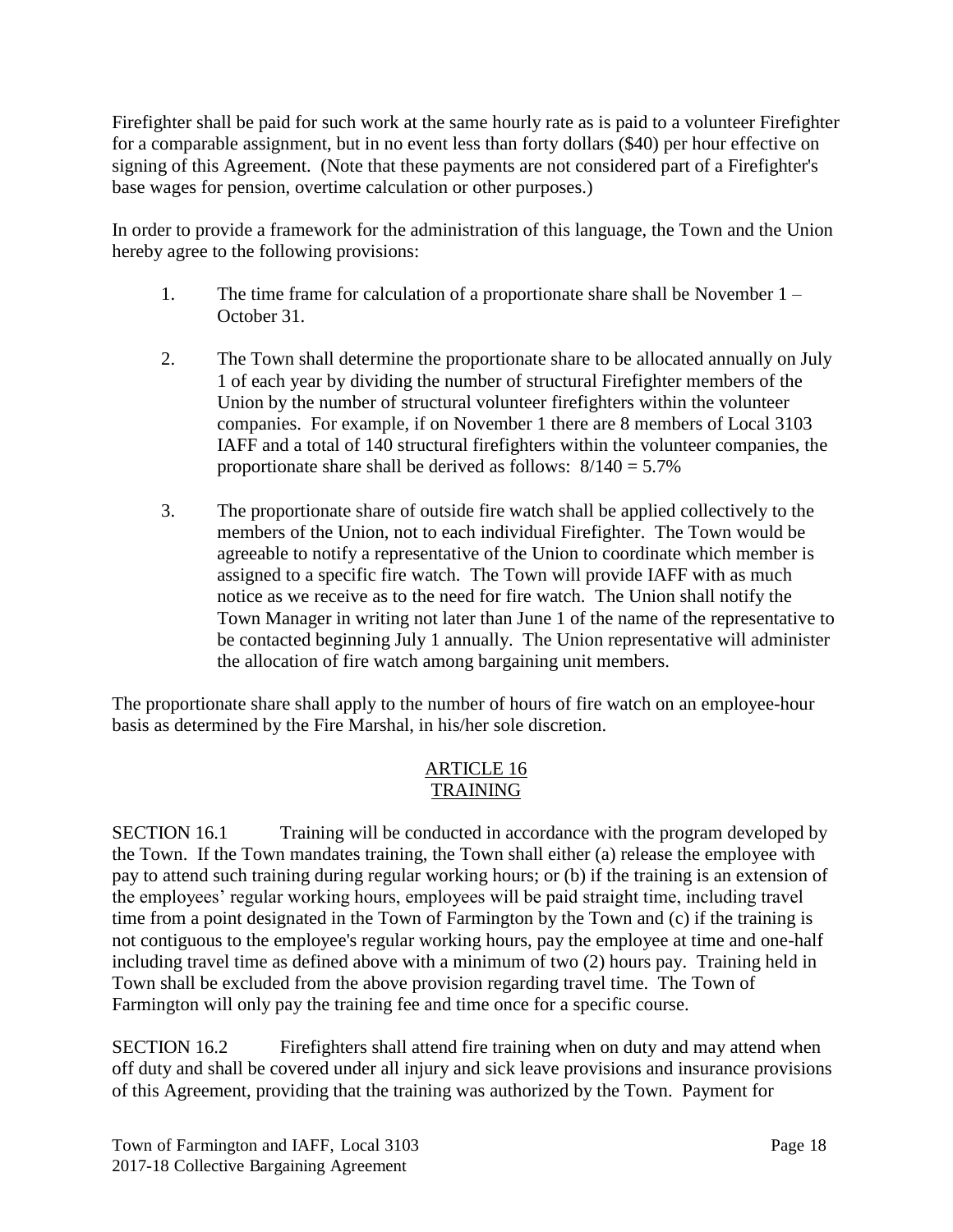Firefighter shall be paid for such work at the same hourly rate as is paid to a volunteer Firefighter for a comparable assignment, but in no event less than forty dollars (\$40) per hour effective on signing of this Agreement. (Note that these payments are not considered part of a Firefighter's base wages for pension, overtime calculation or other purposes.)

In order to provide a framework for the administration of this language, the Town and the Union hereby agree to the following provisions:

- 1. The time frame for calculation of a proportionate share shall be November 1 October 31.
- 2. The Town shall determine the proportionate share to be allocated annually on July 1 of each year by dividing the number of structural Firefighter members of the Union by the number of structural volunteer firefighters within the volunteer companies. For example, if on November 1 there are 8 members of Local 3103 IAFF and a total of 140 structural firefighters within the volunteer companies, the proportionate share shall be derived as follows:  $8/140 = 5.7\%$
- 3. The proportionate share of outside fire watch shall be applied collectively to the members of the Union, not to each individual Firefighter. The Town would be agreeable to notify a representative of the Union to coordinate which member is assigned to a specific fire watch. The Town will provide IAFF with as much notice as we receive as to the need for fire watch. The Union shall notify the Town Manager in writing not later than June 1 of the name of the representative to be contacted beginning July 1 annually. The Union representative will administer the allocation of fire watch among bargaining unit members.

The proportionate share shall apply to the number of hours of fire watch on an employee-hour basis as determined by the Fire Marshal, in his/her sole discretion.

### ARTICLE 16 TRAINING

SECTION 16.1 Training will be conducted in accordance with the program developed by the Town. If the Town mandates training, the Town shall either (a) release the employee with pay to attend such training during regular working hours; or (b) if the training is an extension of the employees' regular working hours, employees will be paid straight time, including travel time from a point designated in the Town of Farmington by the Town and (c) if the training is not contiguous to the employee's regular working hours, pay the employee at time and one-half including travel time as defined above with a minimum of two (2) hours pay. Training held in Town shall be excluded from the above provision regarding travel time. The Town of Farmington will only pay the training fee and time once for a specific course.

SECTION 16.2 Firefighters shall attend fire training when on duty and may attend when off duty and shall be covered under all injury and sick leave provisions and insurance provisions of this Agreement, providing that the training was authorized by the Town. Payment for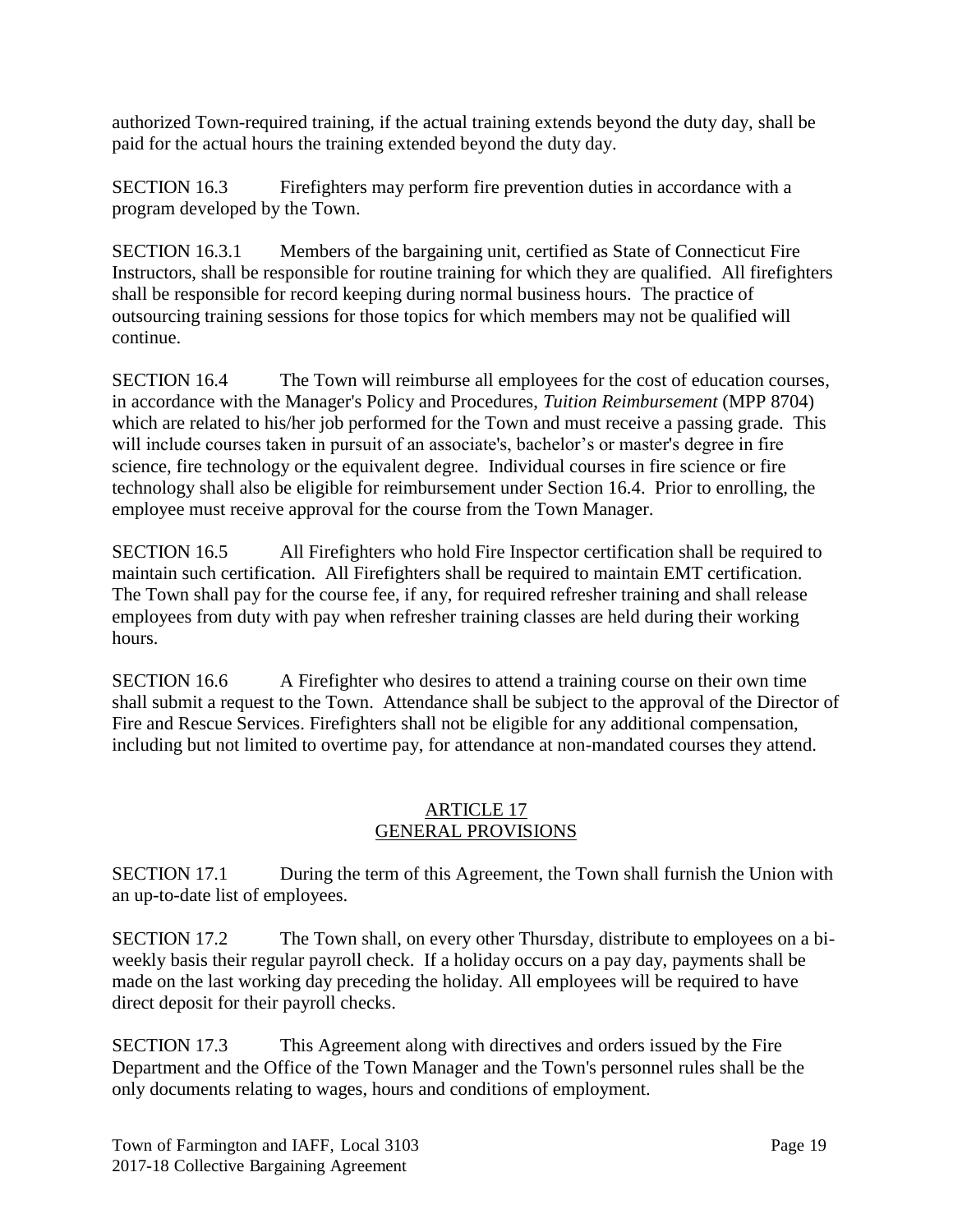authorized Town-required training, if the actual training extends beyond the duty day, shall be paid for the actual hours the training extended beyond the duty day.

SECTION 16.3 Firefighters may perform fire prevention duties in accordance with a program developed by the Town.

SECTION 16.3.1 Members of the bargaining unit, certified as State of Connecticut Fire Instructors, shall be responsible for routine training for which they are qualified. All firefighters shall be responsible for record keeping during normal business hours. The practice of outsourcing training sessions for those topics for which members may not be qualified will continue.

SECTION 16.4 The Town will reimburse all employees for the cost of education courses, in accordance with the Manager's Policy and Procedures, *Tuition Reimbursement* (MPP 8704) which are related to his/her job performed for the Town and must receive a passing grade. This will include courses taken in pursuit of an associate's, bachelor's or master's degree in fire science, fire technology or the equivalent degree. Individual courses in fire science or fire technology shall also be eligible for reimbursement under Section 16.4. Prior to enrolling, the employee must receive approval for the course from the Town Manager.

SECTION 16.5 All Firefighters who hold Fire Inspector certification shall be required to maintain such certification. All Firefighters shall be required to maintain EMT certification. The Town shall pay for the course fee, if any, for required refresher training and shall release employees from duty with pay when refresher training classes are held during their working hours.

SECTION 16.6 A Firefighter who desires to attend a training course on their own time shall submit a request to the Town. Attendance shall be subject to the approval of the Director of Fire and Rescue Services. Firefighters shall not be eligible for any additional compensation, including but not limited to overtime pay, for attendance at non-mandated courses they attend.

### ARTICLE 17 GENERAL PROVISIONS

SECTION 17.1 During the term of this Agreement, the Town shall furnish the Union with an up-to-date list of employees.

SECTION 17.2 The Town shall, on every other Thursday, distribute to employees on a biweekly basis their regular payroll check. If a holiday occurs on a pay day, payments shall be made on the last working day preceding the holiday. All employees will be required to have direct deposit for their payroll checks.

SECTION 17.3 This Agreement along with directives and orders issued by the Fire Department and the Office of the Town Manager and the Town's personnel rules shall be the only documents relating to wages, hours and conditions of employment.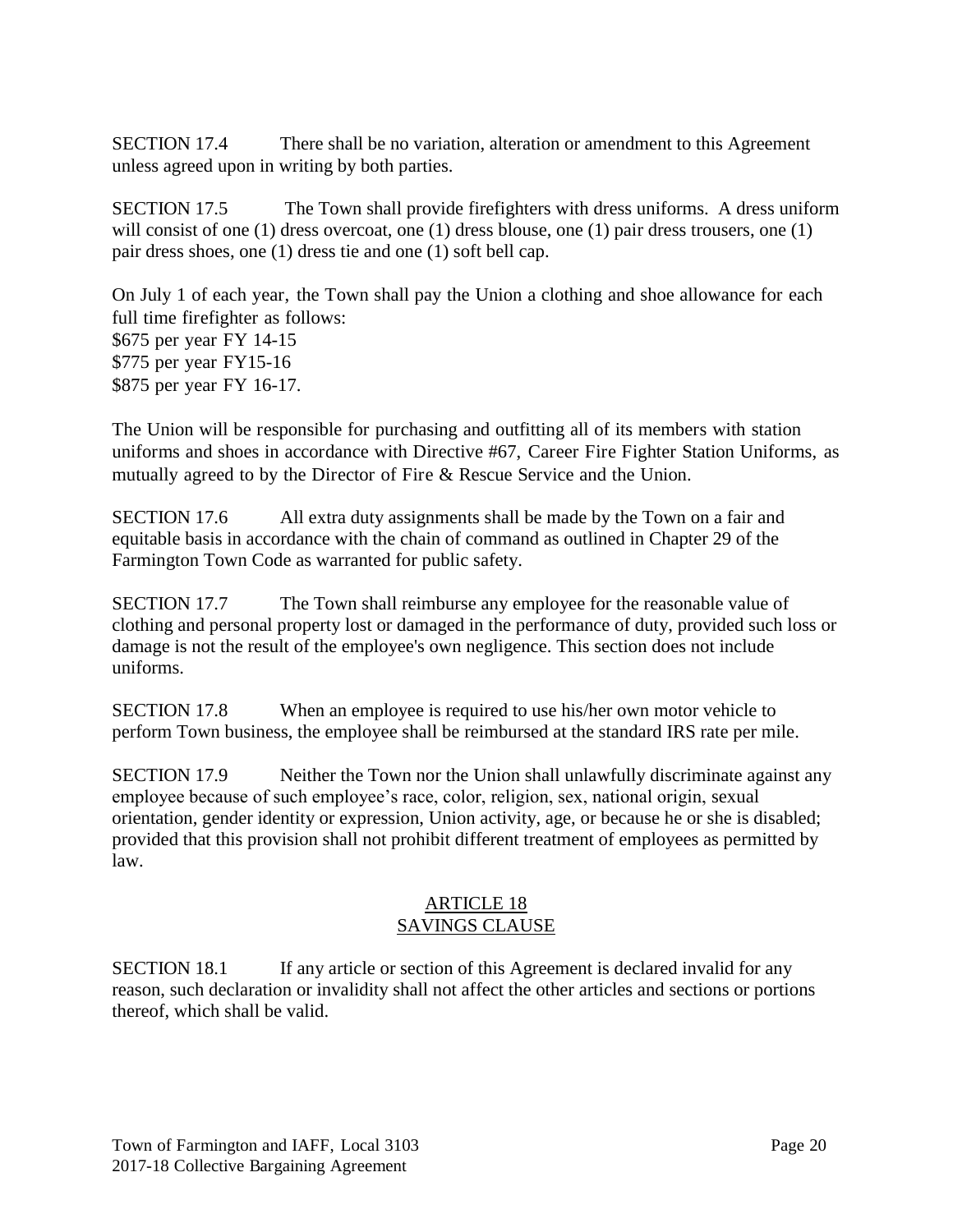SECTION 17.4 There shall be no variation, alteration or amendment to this Agreement unless agreed upon in writing by both parties.

SECTION 17.5 The Town shall provide firefighters with dress uniforms. A dress uniform will consist of one (1) dress overcoat, one (1) dress blouse, one (1) pair dress trousers, one (1) pair dress shoes, one (1) dress tie and one (1) soft bell cap.

On July 1 of each year, the Town shall pay the Union a clothing and shoe allowance for each full time firefighter as follows: \$675 per year FY 14-15 \$775 per year FY15-16 \$875 per year FY 16-17.

The Union will be responsible for purchasing and outfitting all of its members with station uniforms and shoes in accordance with Directive #67, Career Fire Fighter Station Uniforms, as mutually agreed to by the Director of Fire & Rescue Service and the Union.

SECTION 17.6 All extra duty assignments shall be made by the Town on a fair and equitable basis in accordance with the chain of command as outlined in Chapter 29 of the Farmington Town Code as warranted for public safety.

SECTION 17.7 The Town shall reimburse any employee for the reasonable value of clothing and personal property lost or damaged in the performance of duty, provided such loss or damage is not the result of the employee's own negligence. This section does not include uniforms.

SECTION 17.8 When an employee is required to use his/her own motor vehicle to perform Town business, the employee shall be reimbursed at the standard IRS rate per mile.

SECTION 17.9 Neither the Town nor the Union shall unlawfully discriminate against any employee because of such employee's race, color, religion, sex, national origin, sexual orientation, gender identity or expression, Union activity, age, or because he or she is disabled; provided that this provision shall not prohibit different treatment of employees as permitted by law.

#### ARTICLE 18 SAVINGS CLAUSE

SECTION 18.1 If any article or section of this Agreement is declared invalid for any reason, such declaration or invalidity shall not affect the other articles and sections or portions thereof, which shall be valid.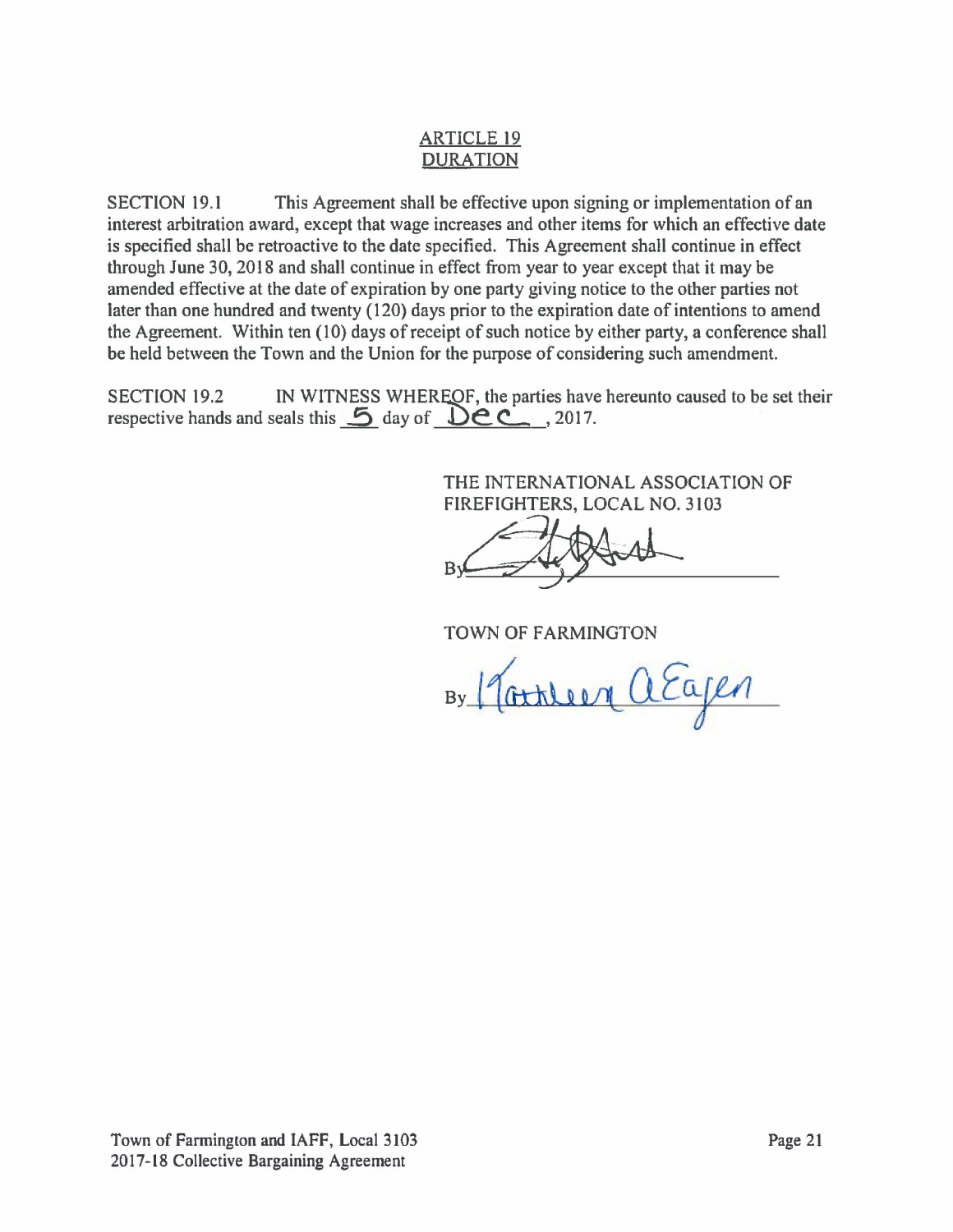## ARTICLE 19 DURATION

SECTION 19.1 This Agreement shall be effective upon signing or implementation of an interest arbitration award, except that wage increases and other items for which an effective date is specified shall be retroactive to the date specified. This Agreement shall continue in effect through June 30,2018 and shall continue in effect from year to year except that it may be amended effective at the date of expiration by one party giving notice to the other parties not later than one hundred and twenty (120) days prior to the expiration date of intentions to amend the Agreement. Within ten (10) days of receipt of such notice by either party, a conference shall be held between the Town and the Union for the purpose of considering such amendment.

SECTION 19.2 IN WITNESS WHEREOF, the parties have hereunto caused to be set their respective hands and seals this **5** day of **Dec.** , 2017.

> THE INTERNATIONAL ASSOCIATION OF FIREFIGHTERS, LOCAL NO. 3103

TOWN OF FARMINGTON

By Martileen a Eagen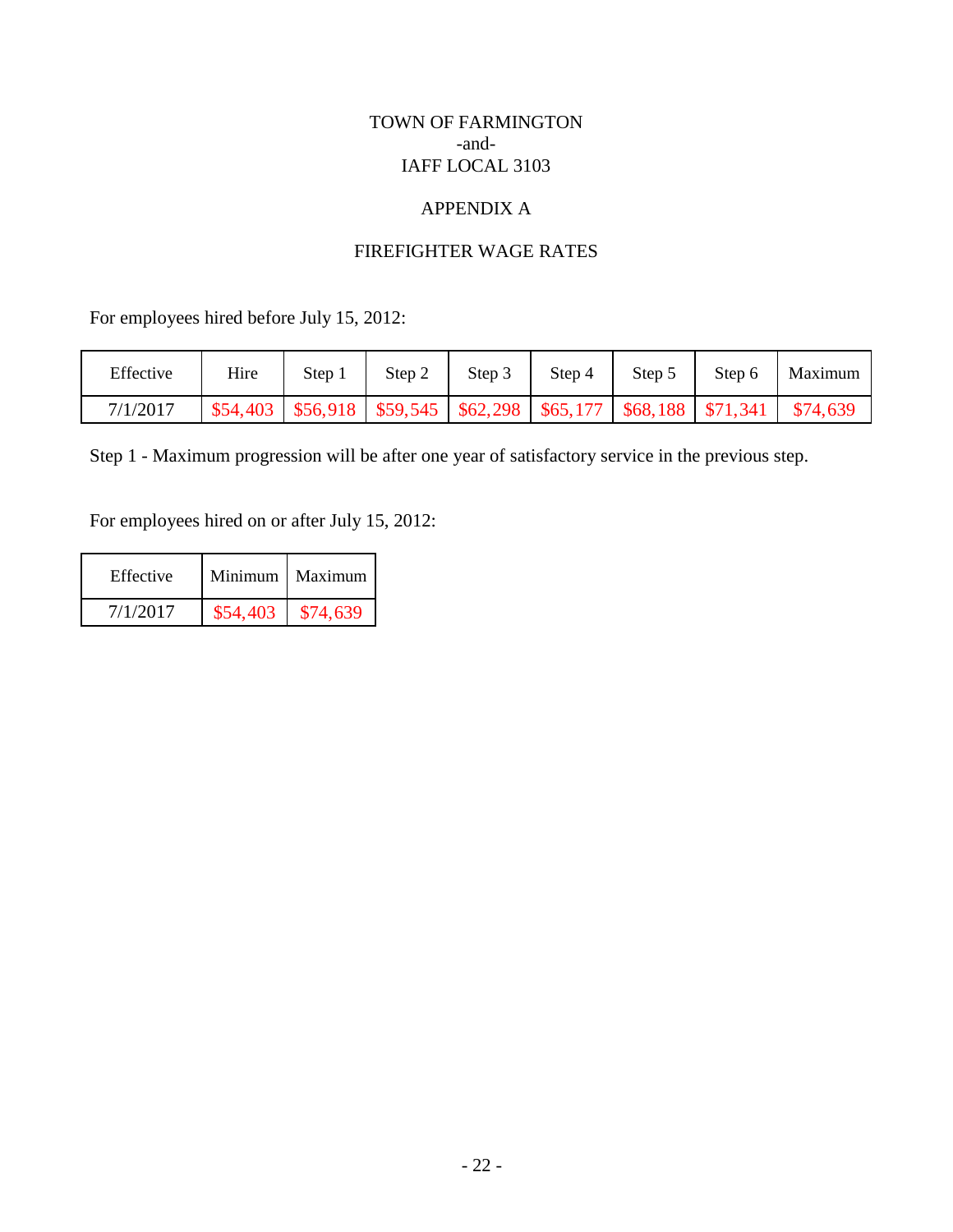### TOWN OF FARMINGTON -and-IAFF LOCAL 3103

# APPENDIX A

## FIREFIGHTER WAGE RATES

For employees hired before July 15, 2012:

| Effective | Hire | Step 1 | Step 2 | Step 3 | Step 4 | Step 5 | Step 6                                                                                 | Maximum |
|-----------|------|--------|--------|--------|--------|--------|----------------------------------------------------------------------------------------|---------|
| 7/1/2017  |      |        |        |        |        |        | $$54,403$   \$56,918   \$59,545   \$62,298   \$65,177   \$68,188   \$71,341   \$74,639 |         |

Step 1 - Maximum progression will be after one year of satisfactory service in the previous step.

For employees hired on or after July 15, 2012:

| Effective |          | Minimum   Maximum |
|-----------|----------|-------------------|
| 7/1/2017  | \$54,403 | \$74,639          |